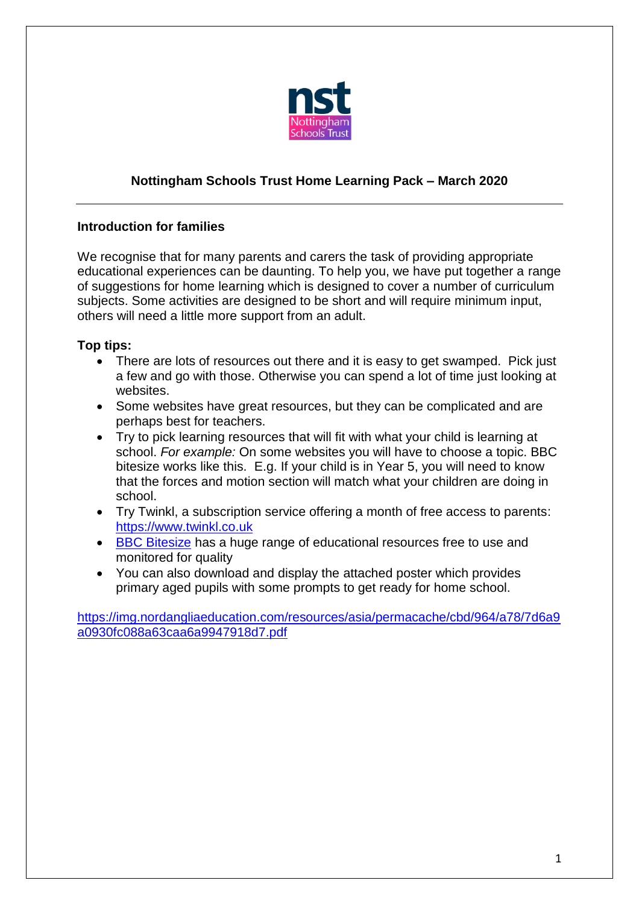

## **Nottingham Schools Trust Home Learning Pack – March 2020**

#### **Introduction for families**

We recognise that for many parents and carers the task of providing appropriate educational experiences can be daunting. To help you, we have put together a range of suggestions for home learning which is designed to cover a number of curriculum subjects. Some activities are designed to be short and will require minimum input, others will need a little more support from an adult.

#### **Top tips:**

- There are lots of resources out there and it is easy to get swamped. Pick just a few and go with those. Otherwise you can spend a lot of time just looking at websites.
- Some websites have great resources, but they can be complicated and are perhaps best for teachers.
- Try to pick learning resources that will fit with what your child is learning at school. *For example:* On some websites you will have to choose a topic. BBC bitesize works like this. E.g. If your child is in Year 5, you will need to know that the forces and motion section will match what your children are doing in school.
- Try Twinkl, a subscription service offering a month of free access to parents: [https://www.twinkl.co.uk](https://www.twinkl.co.uk/)
- [BBC Bitesize](https://www.bbc.co.uk/bitesize) has a huge range of educational resources free to use and monitored for quality
- You can also download and display the attached poster which provides primary aged pupils with some prompts to get ready for home school.

[https://img.nordangliaeducation.com/resources/asia/permacache/cbd/964/a78/7d6a9](https://img.nordangliaeducation.com/resources/asia/permacache/cbd/964/a78/7d6a9a0930fc088a63caa6a9947918d7.pdf) [a0930fc088a63caa6a9947918d7.pdf](https://img.nordangliaeducation.com/resources/asia/permacache/cbd/964/a78/7d6a9a0930fc088a63caa6a9947918d7.pdf)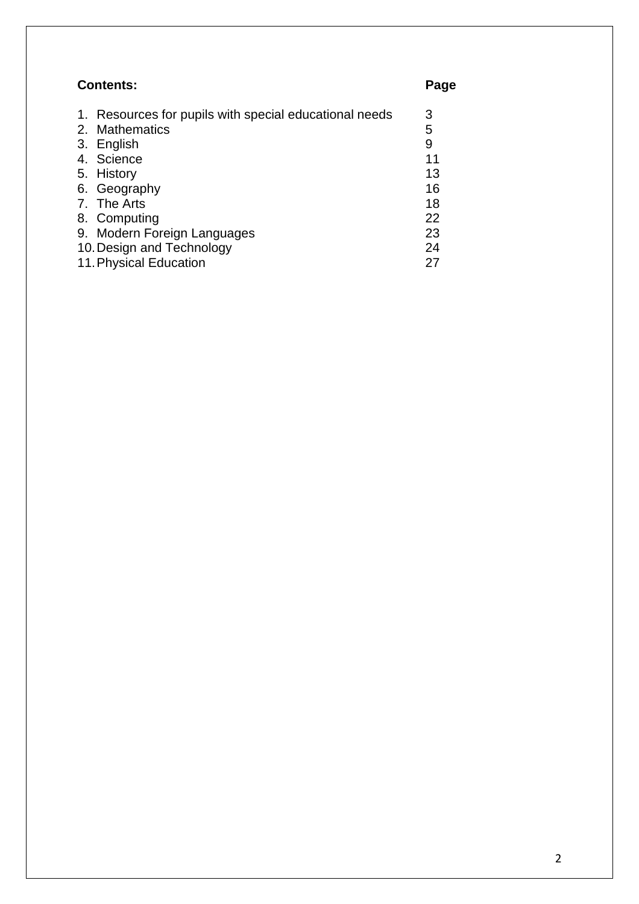| <b>Contents:</b>                                          | Page |
|-----------------------------------------------------------|------|
| Resources for pupils with special educational needs<br>1. | 3    |
| 2. Mathematics                                            | 5    |
| 3. English                                                | 9    |
| 4. Science                                                | 11   |
| 5. History                                                | 13   |
| 6. Geography                                              | 16   |
| 7. The Arts                                               | 18   |
| 8. Computing                                              | 22   |
| 9. Modern Foreign Languages                               | 23   |
| 10. Design and Technology                                 | 24   |
| 11. Physical Education                                    | 27   |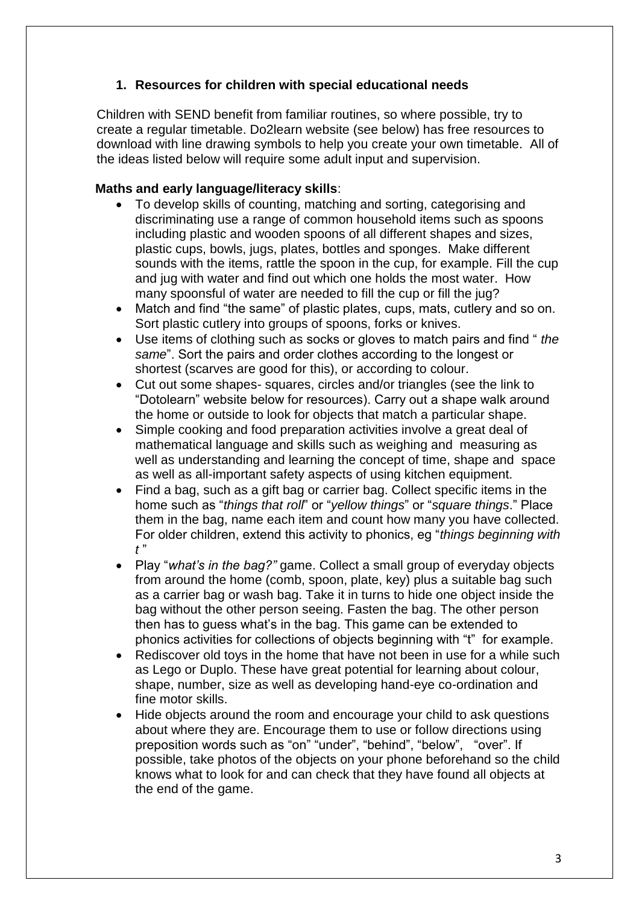## **1. Resources for children with special educational needs**

Children with SEND benefit from familiar routines, so where possible, try to create a regular timetable. Do2learn website (see below) has free resources to download with line drawing symbols to help you create your own timetable. All of the ideas listed below will require some adult input and supervision.

#### **Maths and early language/literacy skills**:

- To develop skills of counting, matching and sorting, categorising and discriminating use a range of common household items such as spoons including plastic and wooden spoons of all different shapes and sizes, plastic cups, bowls, jugs, plates, bottles and sponges. Make different sounds with the items, rattle the spoon in the cup, for example. Fill the cup and jug with water and find out which one holds the most water. How many spoonsful of water are needed to fill the cup or fill the jug?
- Match and find "the same" of plastic plates, cups, mats, cutlery and so on. Sort plastic cutlery into groups of spoons, forks or knives.
- Use items of clothing such as socks or gloves to match pairs and find " *the same*". Sort the pairs and order clothes according to the longest or shortest (scarves are good for this), or according to colour.
- Cut out some shapes- squares, circles and/or triangles (see the link to "Dotolearn" website below for resources). Carry out a shape walk around the home or outside to look for objects that match a particular shape.
- Simple cooking and food preparation activities involve a great deal of mathematical language and skills such as weighing and measuring as well as understanding and learning the concept of time, shape and space as well as all-important safety aspects of using kitchen equipment.
- Find a bag, such as a gift bag or carrier bag. Collect specific items in the home such as "*things that roll*" or "*yellow things*" or "*square things*." Place them in the bag, name each item and count how many you have collected. For older children, extend this activity to phonics, eg "*things beginning with t* "
- Play "*what's in the bag?"* game. Collect a small group of everyday objects from around the home (comb, spoon, plate, key) plus a suitable bag such as a carrier bag or wash bag. Take it in turns to hide one object inside the bag without the other person seeing. Fasten the bag. The other person then has to guess what's in the bag. This game can be extended to phonics activities for collections of objects beginning with "t" for example.
- Rediscover old toys in the home that have not been in use for a while such as Lego or Duplo. These have great potential for learning about colour, shape, number, size as well as developing hand-eye co-ordination and fine motor skills.
- Hide objects around the room and encourage your child to ask questions about where they are. Encourage them to use or follow directions using preposition words such as "on" "under", "behind", "below", "over". If possible, take photos of the objects on your phone beforehand so the child knows what to look for and can check that they have found all objects at the end of the game.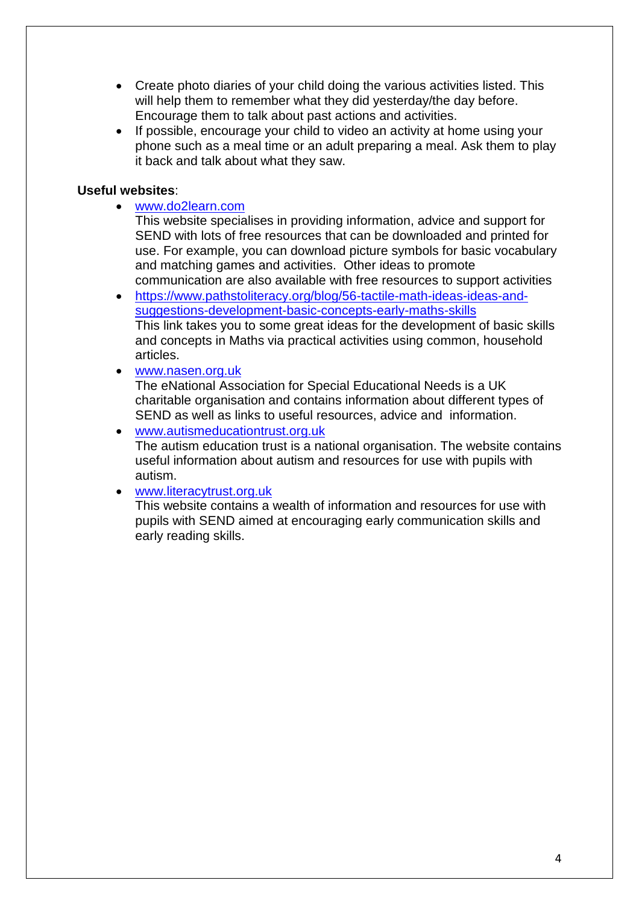- Create photo diaries of your child doing the various activities listed. This will help them to remember what they did yesterday/the day before. Encourage them to talk about past actions and activities.
- If possible, encourage your child to video an activity at home using your phone such as a meal time or an adult preparing a meal. Ask them to play it back and talk about what they saw.

#### **Useful websites**:

• [www.do2learn.com](http://www.do2learn.com/)

This website specialises in providing information, advice and support for SEND with lots of free resources that can be downloaded and printed for use. For example, you can download picture symbols for basic vocabulary and matching games and activities. Other ideas to promote communication are also available with free resources to support activities

- [https://www.pathstoliteracy.org/blog/56-tactile-math-ideas-ideas-and](https://www.pathstoliteracy.org/blog/56-tactile-math-ideas-ideas-and-suggestions-development-basic-concepts-early-maths-skills)[suggestions-development-basic-concepts-early-maths-skills](https://www.pathstoliteracy.org/blog/56-tactile-math-ideas-ideas-and-suggestions-development-basic-concepts-early-maths-skills) This link takes you to some great ideas for the development of basic skills and concepts in Maths via practical activities using common, household articles.
- [www.nasen.org.uk](http://www.nasen.org.uk/) The eNational Association for Special Educational Needs is a UK charitable organisation and contains information about different types of SEND as well as links to useful resources, advice and information.
- [www.autismeducationtrust.org.uk](http://www.autismeducationtrust.org.uk/) The autism education trust is a national organisation. The website contains useful information about autism and resources for use with pupils with autism.
- [www.literacytrust.org.uk](http://www.literacytrust.org.uk/)

This website contains a wealth of information and resources for use with pupils with SEND aimed at encouraging early communication skills and early reading skills.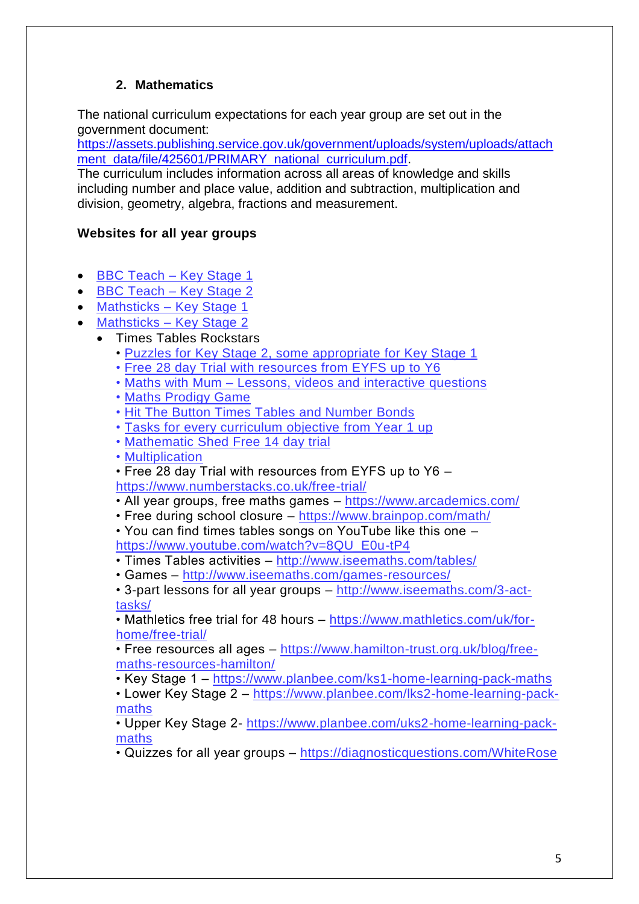## **2. Mathematics**

The national curriculum expectations for each year group are set out in the government document:

[https://assets.publishing.service.gov.uk/government/uploads/system/uploads/attach](https://assets.publishing.service.gov.uk/government/uploads/system/uploads/attachment_data/file/425601/PRIMARY_national_curriculum.pdf) [ment\\_data/file/425601/PRIMARY\\_national\\_curriculum.pdf.](https://assets.publishing.service.gov.uk/government/uploads/system/uploads/attachment_data/file/425601/PRIMARY_national_curriculum.pdf)

The curriculum includes information across all areas of knowledge and skills including number and place value, addition and subtraction, multiplication and division, geometry, algebra, fractions and measurement.

## **Websites for all year groups**

- BBC [Teach](https://www.bbc.co.uk/teach/ks1-maths/zhng7nb) Key Stage 1
- BBC [Teach](https://www.bbc.co.uk/teach/ks2-maths/zm9my9q) Key Stage 2
- [Mathsticks](https://mathsticks.com/my/tag/ks1-5-7-yrs-2/) Key Stage 1
- Mathsticks Key Stage 2
	- Times Tables Rockstars
		- Puzzles for Key Stage 2, some [appropriate](https://www.ilovemathsgames.com/puzzles.html) for Key Stage 1
		- Free 28 day Trial with [resources](https://www.numberstacks.co.uk/free-trial/) from EYFS up to Y6
		- Maths with Mum Lessons, videos and [interactive](https://www.mathswithmum.com/primary-maths-lessons/) questions
		- Maths [Prodigy](https://play.prodigygame.com/) Game
		- Hit The Button Times Tables and [Number](https://www.topmarks.co.uk/maths-games/hit-the-button) Bonds
		- Tasks for every [curriculum](https://garyhall.org.uk/primary-maths-resources.php) objective from Year 1 up
		- • [Mathematic](http://www.mathematicshed.com/) Shed Free 14 day trial
		- • [Multiplication](https://www.schoolimprovementliverpool.co.uk/maths-multiplication-resource)

• Free 28 day Trial with resources from EYFS up to Y6 – <https://www.numberstacks.co.uk/free-trial/>

- All year groups, free maths games <https://www.arcademics.com/>
- Free during school closure <https://www.brainpop.com/math/>
- You can find times tables songs on YouTube like this one [https://www.youtube.com/watch?v=8QU\\_E0u-tP4](https://www.youtube.com/watch?v=8QU_E0u-tP4)
- Times Tables activities <http://www.iseemaths.com/tables/>
- Games <http://www.iseemaths.com/games-resources/>
- 3-part lessons for all year groups [http://www.iseemaths.com/3-act](http://www.iseemaths.com/3-act-tasks/)[tasks/](http://www.iseemaths.com/3-act-tasks/)

• Mathletics free trial for 48 hours – [https://www.mathletics.com/uk/for](https://www.mathletics.com/uk/for-home/free-trial/)[home/free-trial/](https://www.mathletics.com/uk/for-home/free-trial/)

• Free resources all ages – [https://www.hamilton-trust.org.uk/blog/free](https://www.hamilton-trust.org.uk/blog/free-maths-resources-hamilton/)[maths-resources-hamilton/](https://www.hamilton-trust.org.uk/blog/free-maths-resources-hamilton/)

• Key Stage 1 – <https://www.planbee.com/ks1-home-learning-pack-maths>

• Lower Key Stage 2 – [https://www.planbee.com/lks2-home-learning-pack](https://www.planbee.com/lks2-home-learning-pack-maths)[maths](https://www.planbee.com/lks2-home-learning-pack-maths)

• Upper Key Stage 2- [https://www.planbee.com/uks2-home-learning-pack](https://www.planbee.com/uks2-home-learning-pack-maths)[maths](https://www.planbee.com/uks2-home-learning-pack-maths)

• Quizzes for all year groups – <https://diagnosticquestions.com/WhiteRose>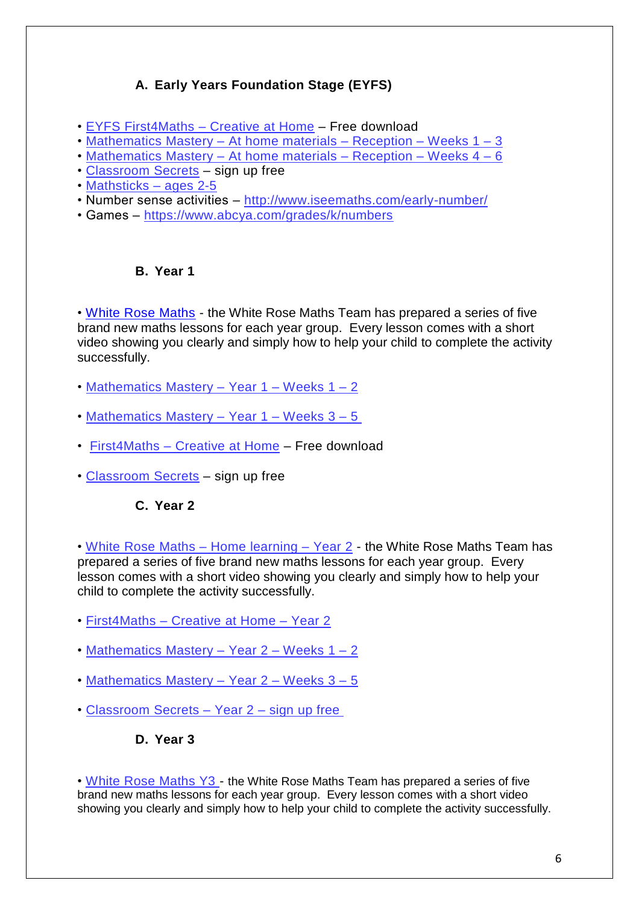## **A. Early Years Foundation Stage (EYFS)**

- EYFS [First4Maths](https://www.first4maths.co.uk/product/year-eyfs-creative-at-home-free/) Creative at Home Free download
- • [Mathematics](https://www.mathematicsmastery.org/wp-content/uploads/2020/03/Parent_Maths_Rec_W1-3.pdf) Mastery At home materials Reception Weeks 1 3
- • [Mathematics](https://www.mathematicsmastery.org/wp-content/uploads/2020/03/Parent_Maths_Rec_W4-6.pdf) Mastery At home materials Reception Weeks 4 6
- • [Classroom](https://kids.classroomsecrets.co.uk/category/eyfs/eyfs-maths/) Secrets sign up free
- • [Mathsticks](https://mathsticks.com/my/tag/eyfs-2-5-yrs/) ages 2-5
- Number sense activities <http://www.iseemaths.com/early-number/>
- Games <https://www.abcya.com/grades/k/numbers>

## **B. Year 1**

• [White Rose Maths](https://whiterosemaths.com/homelearning/year-1/) - the White Rose Maths Team has prepared a series of five brand new maths lessons for each year group. Every lesson comes with a short video showing you clearly and simply how to help your child to complete the activity successfully.

- • [Mathematics](https://www.mathematicsmastery.org/wp-content/uploads/2020/03/Parent_Maths_Y1_W1-2.pdf) Mastery Year 1 Weeks 1 2
- • [Mathematics](https://www.mathematicsmastery.org/wp-content/uploads/2020/03/Parent_Maths_Y1_W3-5.pdf) Mastery Year 1 Weeks 3 5
- •[First4Maths](https://www.first4maths.co.uk/product/year-1-creative-at-home-free/) Creative at Home Free download
- • [Classroom](https://kids.classroomsecrets.co.uk/category/year-1/year-1-maths/) Secrets sign up free

## **C. Year 2**

• White Rose Maths – Home [learning](https://whiterosemaths.com/homelearning/year-2/) – Year 2 - the White Rose Maths Team has prepared a series of five brand new maths lessons for each year group. Every lesson comes with a short video showing you clearly and simply how to help your child to complete the activity successfully.

- [First4Maths](https://www.first4maths.co.uk/product/year-2-creative-at-home-free/) Creative at Home Year 2
- • [Mathematics](https://www.mathematicsmastery.org/wp-content/uploads/2020/03/Parent_Maths_Y2_W1-2.pdf) Mastery Year 2 Weeks 1 2
- • [Mathematics](https://www.mathematicsmastery.org/wp-content/uploads/2020/03/Parent_Maths_Y2_W3-5.pdf) Mastery Year 2 Weeks 3 5
- • [Classroom](https://kids.classroomsecrets.co.uk/category/year-2/year-2-maths/) Secrets Year 2 sign up free

## **D. Year 3**

• [White Rose Maths Y3](https://whiterosemaths.com/homelearning/year-3/) - the White Rose Maths Team has prepared a series of five brand new maths lessons for each year group. Every lesson comes with a short video showing you clearly and simply how to help your child to complete the activity successfully.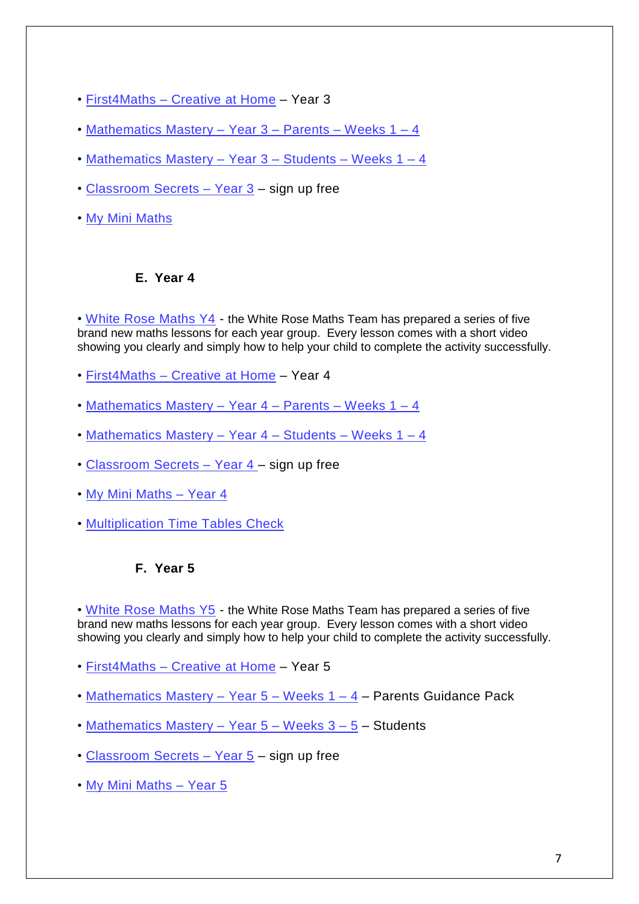- [First4Maths](https://www.first4maths.co.uk/product/year-3-creative-at-home-free/) Creative at Home Year 3
- • [Mathematics](https://www.mathematicsmastery.org/wp-content/uploads/2020/03/Parent_Maths_Y3_W1-4.pdf) Mastery Year 3 Parents Weeks 1 4
- • [Mathematics](https://www.mathematicsmastery.org/wp-content/uploads/2020/03/Student_Maths_Y3_W1-4.pdf) Mastery Year 3 Students Weeks 1 4
- • [Classroom](https://kids.classroomsecrets.co.uk/category/year-3/year-3-maths/) Secrets Year 3 sign up free
- My Mini [Maths](https://myminimaths.co.uk/year-3-mini-maths/)

## **E. Year 4**

• [White Rose Maths Y4](https://whiterosemaths.com/homelearning/year-4/) - the White Rose Maths Team has prepared a series of five brand new maths lessons for each year group. Every lesson comes with a short video showing you clearly and simply how to help your child to complete the activity successfully.

- [First4Maths](https://www.first4maths.co.uk/product/year-4-creative-at-home-free/) Creative at Home Year 4
- • [Mathematics](https://www.mathematicsmastery.org/wp-content/uploads/2020/03/Parent_Maths_Y4_W1-4.pdf) Mastery Year 4 Parents Weeks 1 4
- • [Mathematics](https://www.mathematicsmastery.org/wp-content/uploads/2020/03/Student_Maths_Y4_W1-4.pdf) Mastery Year 4 Students Weeks 1 4
- • [Classroom](https://kids.classroomsecrets.co.uk/category/year-4/year-4-maths/) Secrets Year 4 sign up free
- My Mini [Maths](https://myminimaths.co.uk/year-4-mini-maths/) Year 4
- • [Multiplication](https://www.emile-education.com/worksheet-directory/multiplication-tables-check-mtc-worksheets/) Time Tables Check

#### **F. Year 5**

• [White Rose Maths Y5](https://whiterosemaths.com/homelearning/year-5/) - the White Rose Maths Team has prepared a series of five brand new maths lessons for each year group. Every lesson comes with a short video showing you clearly and simply how to help your child to complete the activity successfully.

- [First4Maths](https://www.first4maths.co.uk/product/year-5-creative-at-home-free/) Creative at Home Year 5
- • [Mathematics](https://www.mathematicsmastery.org/wp-content/uploads/2020/03/Parent_Maths_Y5_W1-4.pdf) Mastery Year 5 Weeks 1 4 Parents Guidance Pack
- • [Mathematics](https://www.mathematicsmastery.org/wp-content/uploads/2020/03/Student_Maths_Y5_W1-4.pdf) Mastery Year 5 Weeks 3 5 Students
- • [Classroom](https://kids.classroomsecrets.co.uk/category/year-5/year-5-maths/) Secrets Year 5 sign up free
- My Mini [Maths](https://myminimaths.co.uk/year-5-mini-maths/) Year 5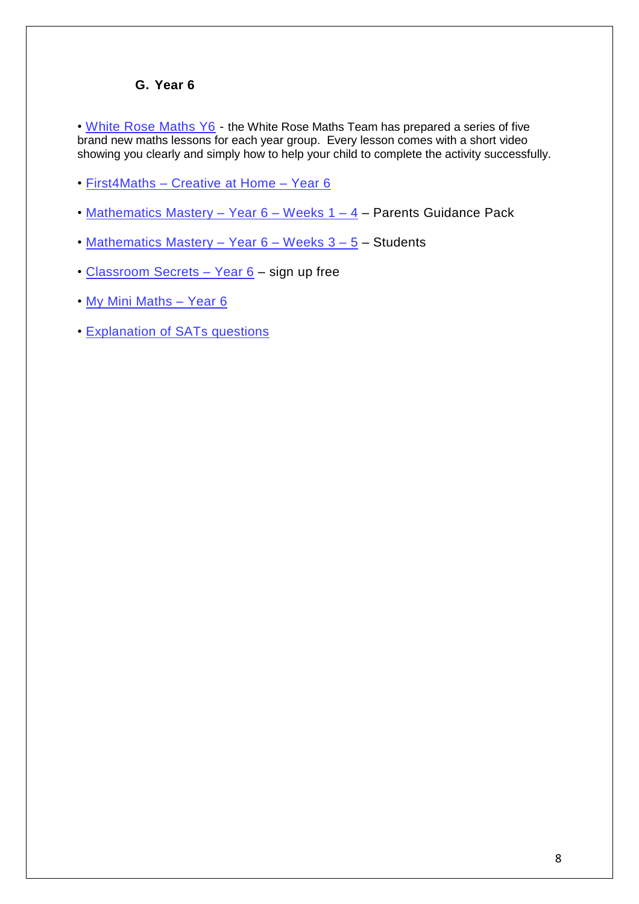#### **G. Year 6**

• [White Rose Maths Y6](https://whiterosemaths.com/homelearning/year-6/) - the White Rose Maths Team has prepared a series of five brand new maths lessons for each year group. Every lesson comes with a short video showing you clearly and simply how to help your child to complete the activity successfully.

- [First4Maths](https://www.first4maths.co.uk/product/year-6-creative-at-home-free/) Creative at Home Year 6
- • [Mathematics](https://www.mathematicsmastery.org/wp-content/uploads/2020/03/Parent_Maths_Y6_W1-4.pdf) Mastery Year  $6$  Weeks  $1 4$  Parents Guidance Pack
- • [Mathematics](https://www.mathematicsmastery.org/wp-content/uploads/2020/03/Maths-Y6-W1-4-learner-pack.pdf) Mastery Year 6 Weeks 3 5 Students
- • [Classroom](https://kids.classroomsecrets.co.uk/category/year-6/year-6-maths/) Secrets Year 6 sign up free
- My Mini [Maths](https://myminimaths.co.uk/year-6-mini-maths/) Year 6
- • [Explanation](https://www.youtube.com/channel/UCVelQlu1fp6tm1aJLc2zUuw) of SATs questions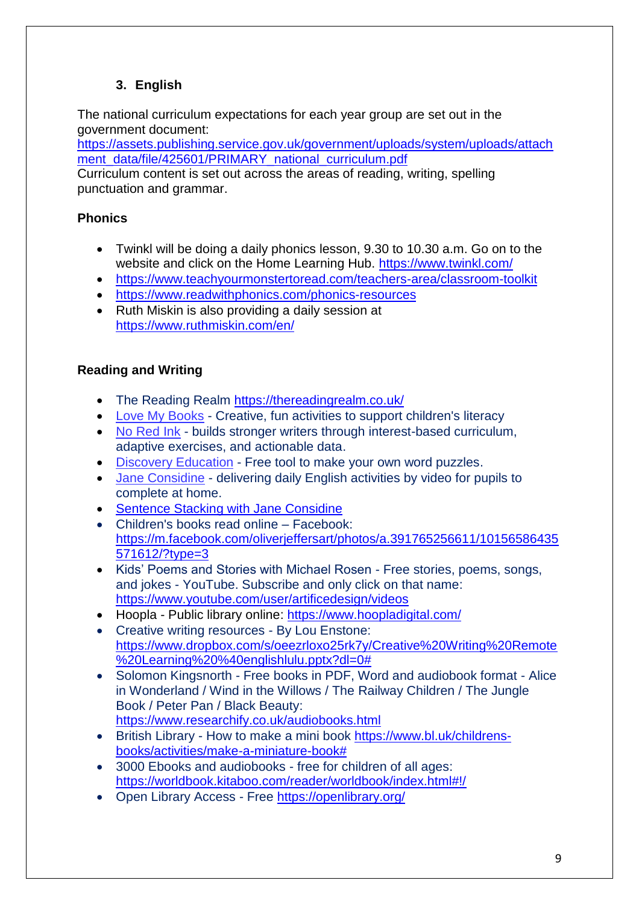## **3. English**

The national curriculum expectations for each year group are set out in the government document:

[https://assets.publishing.service.gov.uk/government/uploads/system/uploads/attach](https://assets.publishing.service.gov.uk/government/uploads/system/uploads/attachment_data/file/425601/PRIMARY_national_curriculum.pdf) [ment\\_data/file/425601/PRIMARY\\_national\\_curriculum.pdf](https://assets.publishing.service.gov.uk/government/uploads/system/uploads/attachment_data/file/425601/PRIMARY_national_curriculum.pdf)

Curriculum content is set out across the areas of reading, writing, spelling punctuation and grammar.

## **Phonics**

- Twinkl will be doing a daily phonics lesson, 9.30 to 10.30 a.m. Go on to the website and click on the Home Learning Hub.<https://www.twinkl.com/>
- <https://www.teachyourmonstertoread.com/teachers-area/classroom-toolkit>
- <https://www.readwithphonics.com/phonics-resources>
- Ruth Miskin is also providing a daily session at <https://www.ruthmiskin.com/en/>

## **Reading and Writing**

- The Reading Realm<https://thereadingrealm.co.uk/>
- [Love My Books](http://www.lovemybooks.co.uk/) Creative, fun activities to support children's literacy
- [No Red Ink](https://www.noredink.com/) builds stronger writers through interest-based curriculum, adaptive exercises, and actionable data.
- [Discovery Education](http://puzzlemaker.discoveryeducation.com/) Free tool to make your own word puzzles.
- [Jane Considine](https://twitter.com/janeconsidine/status/1238476875909009409) delivering daily English activities by video for pupils to complete at home.
- [Sentence Stacking with Jane Considine](https://www.youtube.com/watch?v=rs3rCIhtQso)
- Children's books read online Facebook: [https://m.facebook.com/oliverjeffersart/photos/a.391765256611/10156586435](https://m.facebook.com/oliverjeffersart/photos/a.391765256611/10156586435571612/?type=3) [571612/?type=3](https://m.facebook.com/oliverjeffersart/photos/a.391765256611/10156586435571612/?type=3)
- Kids' Poems and Stories with Michael Rosen Free stories, poems, songs, and jokes - YouTube. Subscribe and only click on that name: <https://www.youtube.com/user/artificedesign/videos>
- Hoopla Public library online: <https://www.hoopladigital.com/>
- Creative writing resources By Lou Enstone: [https://www.dropbox.com/s/oeezrloxo25rk7y/Creative%20Writing%20Remote](https://www.dropbox.com/s/oeezrloxo25rk7y/Creative%20Writing%20Remote%20Learning%20%40englishlulu.pptx?dl=0%23) [%20Learning%20%40englishlulu.pptx?dl=0#](https://www.dropbox.com/s/oeezrloxo25rk7y/Creative%20Writing%20Remote%20Learning%20%40englishlulu.pptx?dl=0%23)
- Solomon Kingsnorth Free books in PDF, Word and audiobook format Alice in Wonderland / Wind in the Willows / The Railway Children / The Jungle Book / Peter Pan / Black Beauty: <https://www.researchify.co.uk/audiobooks.html>
- British Library How to make a mini book [https://www.bl.uk/childrens](https://www.bl.uk/childrens-books/activities/make-a-miniature-book)[books/activities/make-a-miniature-book#](https://www.bl.uk/childrens-books/activities/make-a-miniature-book)
- 3000 Ebooks and audiobooks free for children of all ages: <https://worldbook.kitaboo.com/reader/worldbook/index.html#!/>
- Open Library Access Free <https://openlibrary.org/>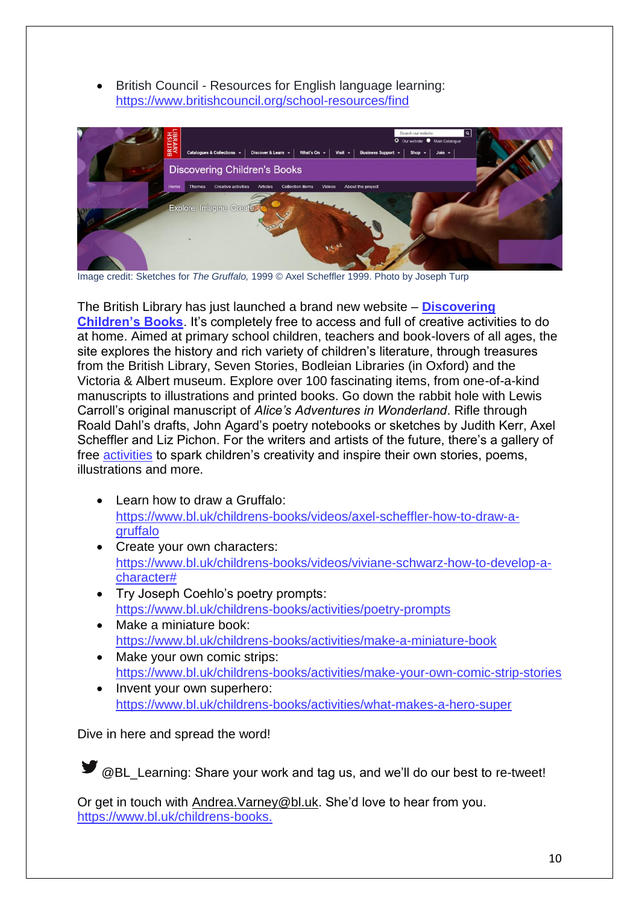• British Council - Resources for English language learning: [https://www.britishcouncil.org/school-resources/find](https://l.facebook.com/l.php?u=https%3A%2F%2Fwww.britishcouncil.org%2Fschool-resources%2Ffind&h=AT0xvSZexcQ7MuYSjpVWI4mpgtw39uT1Alni-y-RaxYrtm3_KQKS8QXNdzP692Nxpw2CCmJLSoVzLHsY-Q3Rai_h0Xl3Z5sRMdkmU1nTdsqyS9W2u8FP_rukjeWW7qxAMfdnkAC6ZuxE7tPZpqeyX5iT6SaBDn7cMR7TkxgHujkYUfcQij1SCnUKzoWso18)



Image credit: Sketches for *The Gruffalo,* 1999 © Axel Scheffler 1999. Photo by Joseph Turp

The British Library has just launched a brand new website – **[Discovering](https://www.bl.uk/childrens-books/)  [Children's Books](https://www.bl.uk/childrens-books/)**. It's completely free to access and full of creative activities to do at home. Aimed at primary school children, teachers and book-lovers of all ages, the site explores the history and rich variety of children's literature, through treasures from the British Library, Seven Stories, Bodleian Libraries (in Oxford) and the Victoria & Albert museum. Explore over 100 fascinating items, from one-of-a-kind manuscripts to illustrations and printed books. Go down the rabbit hole with Lewis Carroll's original manuscript of *Alice's Adventures in Wonderland*. Rifle through Roald Dahl's drafts, John Agard's poetry notebooks or sketches by Judith Kerr, Axel Scheffler and Liz Pichon. For the writers and artists of the future, there's a gallery of free [activities](https://www.bl.uk/childrens-books/creative-activities) to spark children's creativity and inspire their own stories, poems, illustrations and more.

- Learn how to draw a Gruffalo: [https://www.bl.uk/childrens-books/videos/axel-scheffler-how-to-draw-a](https://www.bl.uk/childrens-books/videos/axel-scheffler-how-to-draw-a-gruffalo)[gruffalo](https://www.bl.uk/childrens-books/videos/axel-scheffler-how-to-draw-a-gruffalo)
- Create your own characters: [https://www.bl.uk/childrens-books/videos/viviane-schwarz-how-to-develop-a](https://www.bl.uk/childrens-books/videos/viviane-schwarz-how-to-develop-a-character)[character#](https://www.bl.uk/childrens-books/videos/viviane-schwarz-how-to-develop-a-character)
- Try Joseph Coehlo's poetry prompts: <https://www.bl.uk/childrens-books/activities/poetry-prompts>
- Make a miniature book: <https://www.bl.uk/childrens-books/activities/make-a-miniature-book>
- Make your own comic strips: <https://www.bl.uk/childrens-books/activities/make-your-own-comic-strip-stories>
- Invent your own superhero: <https://www.bl.uk/childrens-books/activities/what-makes-a-hero-super>

Dive in here and spread the word!

**W** @BL Learning: Share your work and tag us, and we'll do our best to re-tweet!

Or get in touch with [Andrea.Varney@bl.uk.](mailto:Andrea.Varney@bl.uk) She'd love to hear from you. [https://www.bl.uk/childrens-books.](https://www.bl.uk/childrens-books)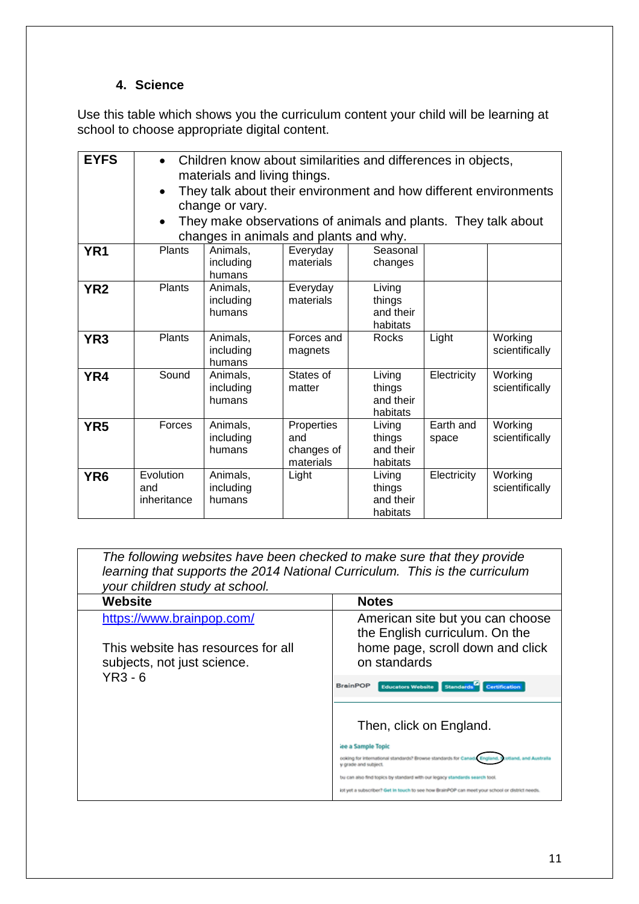## **4. Science**

Use this table which shows you the curriculum content your child will be learning at school to choose appropriate digital content.

| <b>EYFS</b>     | Children know about similarities and differences in objects,<br>$\bullet$<br>materials and living things.<br>They talk about their environment and how different environments<br>$\bullet$<br>change or vary.<br>They make observations of animals and plants. They talk about<br>$\bullet$<br>changes in animals and plants and why. |                                 |                                              |                                           |                    |                           |
|-----------------|---------------------------------------------------------------------------------------------------------------------------------------------------------------------------------------------------------------------------------------------------------------------------------------------------------------------------------------|---------------------------------|----------------------------------------------|-------------------------------------------|--------------------|---------------------------|
| YR <sub>1</sub> | Plants                                                                                                                                                                                                                                                                                                                                | Animals,<br>including<br>humans | Everyday<br>materials                        | Seasonal<br>changes                       |                    |                           |
| YR <sub>2</sub> | Plants                                                                                                                                                                                                                                                                                                                                | Animals,<br>including<br>humans | Everyday<br>materials                        | Living<br>things<br>and their<br>habitats |                    |                           |
| YR <sub>3</sub> | Plants                                                                                                                                                                                                                                                                                                                                | Animals,<br>including<br>humans | Forces and<br>magnets                        | <b>Rocks</b>                              | Light              | Working<br>scientifically |
| YR4             | Sound                                                                                                                                                                                                                                                                                                                                 | Animals,<br>including<br>humans | States of<br>matter                          | Living<br>things<br>and their<br>habitats | Electricity        | Working<br>scientifically |
| YR <sub>5</sub> | Forces                                                                                                                                                                                                                                                                                                                                | Animals,<br>including<br>humans | Properties<br>and<br>changes of<br>materials | Living<br>things<br>and their<br>habitats | Earth and<br>space | Working<br>scientifically |
| YR <sub>6</sub> | Evolution<br>and<br>inheritance                                                                                                                                                                                                                                                                                                       | Animals,<br>including<br>humans | Light                                        | Living<br>things<br>and their<br>habitats | Electricity        | Working<br>scientifically |

| The following websites have been checked to make sure that they provide     |                                                                                                                  |  |  |
|-----------------------------------------------------------------------------|------------------------------------------------------------------------------------------------------------------|--|--|
| learning that supports the 2014 National Curriculum. This is the curriculum |                                                                                                                  |  |  |
| your children study at school.                                              |                                                                                                                  |  |  |
| Website                                                                     | <b>Notes</b>                                                                                                     |  |  |
| https://www.brainpop.com/                                                   | American site but you can choose                                                                                 |  |  |
|                                                                             | the English curriculum. On the                                                                                   |  |  |
| This website has resources for all                                          | home page, scroll down and click                                                                                 |  |  |
| subjects, not just science.                                                 | on standards                                                                                                     |  |  |
| YR3 - 6                                                                     | <b>BrainPOP</b><br><b>Educators Website</b><br><b>Standards</b><br>Certification                                 |  |  |
|                                                                             | Then, click on England.                                                                                          |  |  |
|                                                                             | iee a Sample Topic                                                                                               |  |  |
|                                                                             | ooking for international standards? Browse standards for Can<br><b>Sand, and Austral</b><br>y grade and subject. |  |  |
|                                                                             | bu can also find topics by standard with our legacy standards search tool                                        |  |  |
|                                                                             | iot yet a subscriber? Get in touch to see how BrainPOP can meet your school or district need                     |  |  |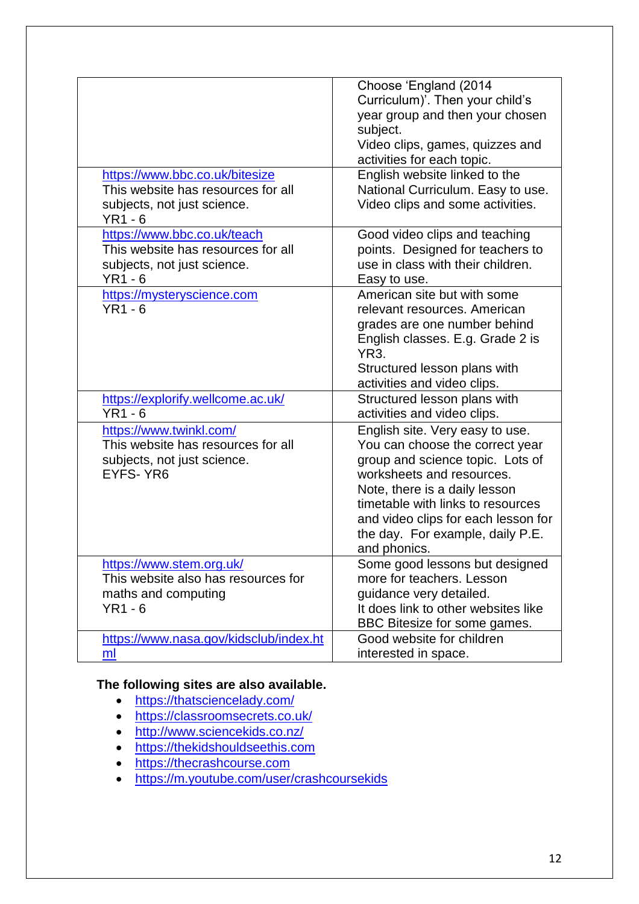|                                                                                                                | Choose 'England (2014<br>Curriculum)'. Then your child's<br>year group and then your chosen<br>subject.<br>Video clips, games, quizzes and<br>activities for each topic.                                                                                                                             |
|----------------------------------------------------------------------------------------------------------------|------------------------------------------------------------------------------------------------------------------------------------------------------------------------------------------------------------------------------------------------------------------------------------------------------|
| https://www.bbc.co.uk/bitesize<br>This website has resources for all<br>subjects, not just science.<br>YR1 - 6 | English website linked to the<br>National Curriculum. Easy to use.<br>Video clips and some activities.                                                                                                                                                                                               |
| https://www.bbc.co.uk/teach<br>This website has resources for all<br>subjects, not just science.<br>$YR1 - 6$  | Good video clips and teaching<br>points. Designed for teachers to<br>use in class with their children.<br>Easy to use.                                                                                                                                                                               |
| https://mysteryscience.com<br>$YR1 - 6$                                                                        | American site but with some<br>relevant resources. American<br>grades are one number behind<br>English classes. E.g. Grade 2 is<br>YR3.<br>Structured lesson plans with<br>activities and video clips.                                                                                               |
| https://explorify.wellcome.ac.uk/<br>$YR1 - 6$                                                                 | Structured lesson plans with<br>activities and video clips.                                                                                                                                                                                                                                          |
| https://www.twinkl.com/<br>This website has resources for all<br>subjects, not just science.<br>EYFS-YR6       | English site. Very easy to use.<br>You can choose the correct year<br>group and science topic. Lots of<br>worksheets and resources.<br>Note, there is a daily lesson<br>timetable with links to resources<br>and video clips for each lesson for<br>the day. For example, daily P.E.<br>and phonics. |
| https://www.stem.org.uk/<br>This website also has resources for<br>maths and computing<br>$YR1 - 6$            | Some good lessons but designed<br>more for teachers. Lesson<br>guidance very detailed.<br>It does link to other websites like<br>BBC Bitesize for some games.                                                                                                                                        |
| https://www.nasa.gov/kidsclub/index.ht<br>ml                                                                   | Good website for children<br>interested in space.                                                                                                                                                                                                                                                    |

#### **The following sites are also available.**

- <https://thatsciencelady.com/>
- <https://classroomsecrets.co.uk/>
- <http://www.sciencekids.co.nz/>
- [https://thekidshouldseethis.com](https://thekidshouldseethis.com/)
- [https://thecrashcourse.com](https://thecrashcourse.com/)
- <https://m.youtube.com/user/crashcoursekids>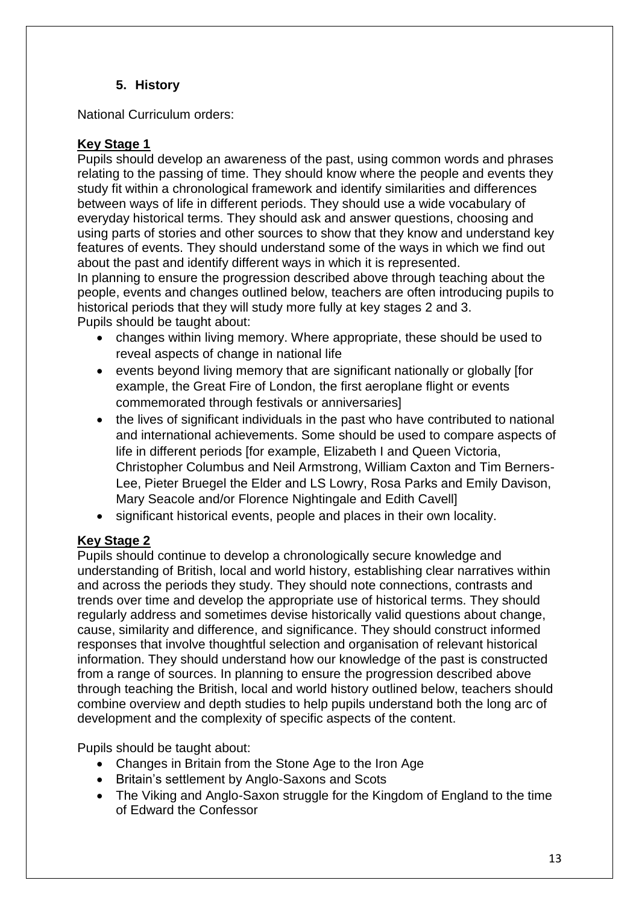## **5. History**

National Curriculum orders:

## **Key Stage 1**

Pupils should develop an awareness of the past, using common words and phrases relating to the passing of time. They should know where the people and events they study fit within a chronological framework and identify similarities and differences between ways of life in different periods. They should use a wide vocabulary of everyday historical terms. They should ask and answer questions, choosing and using parts of stories and other sources to show that they know and understand key features of events. They should understand some of the ways in which we find out about the past and identify different ways in which it is represented.

In planning to ensure the progression described above through teaching about the people, events and changes outlined below, teachers are often introducing pupils to historical periods that they will study more fully at key stages 2 and 3. Pupils should be taught about:

- changes within living memory. Where appropriate, these should be used to reveal aspects of change in national life
- events beyond living memory that are significant nationally or globally [for example, the Great Fire of London, the first aeroplane flight or events commemorated through festivals or anniversaries]
- the lives of significant individuals in the past who have contributed to national and international achievements. Some should be used to compare aspects of life in different periods [for example, Elizabeth I and Queen Victoria, Christopher Columbus and Neil Armstrong, William Caxton and Tim Berners-Lee, Pieter Bruegel the Elder and LS Lowry, Rosa Parks and Emily Davison, Mary Seacole and/or Florence Nightingale and Edith Cavell]
- significant historical events, people and places in their own locality.

## **Key Stage 2**

Pupils should continue to develop a chronologically secure knowledge and understanding of British, local and world history, establishing clear narratives within and across the periods they study. They should note connections, contrasts and trends over time and develop the appropriate use of historical terms. They should regularly address and sometimes devise historically valid questions about change, cause, similarity and difference, and significance. They should construct informed responses that involve thoughtful selection and organisation of relevant historical information. They should understand how our knowledge of the past is constructed from a range of sources. In planning to ensure the progression described above through teaching the British, local and world history outlined below, teachers should combine overview and depth studies to help pupils understand both the long arc of development and the complexity of specific aspects of the content.

Pupils should be taught about:

- Changes in Britain from the Stone Age to the Iron Age
- Britain's settlement by Anglo-Saxons and Scots
- The Viking and Anglo-Saxon struggle for the Kingdom of England to the time of Edward the Confessor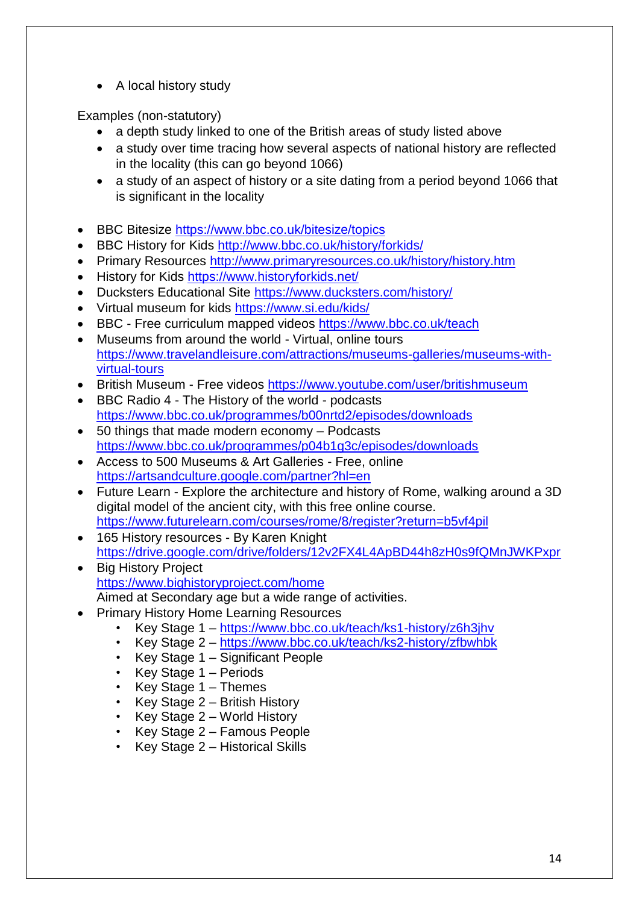• A local history study

Examples (non-statutory)

- a depth study linked to one of the British areas of study listed above
- a study over time tracing how several aspects of national history are reflected in the locality (this can go beyond 1066)
- a study of an aspect of history or a site dating from a period beyond 1066 that is significant in the locality
- BBC Bitesize<https://www.bbc.co.uk/bitesize/topics>
- BBC History for Kids<http://www.bbc.co.uk/history/forkids/>
- Primary Resources<http://www.primaryresources.co.uk/history/history.htm>
- History for Kids<https://www.historyforkids.net/>
- Ducksters Educational Site<https://www.ducksters.com/history/>
- Virtual museum for kids<https://www.si.edu/kids/>
- BBC Free curriculum mapped videos<https://www.bbc.co.uk/teach>
- Museums from around the world Virtual, online tours [https://www.travelandleisure.com/attractions/museums-galleries/museums-with](https://www.travelandleisure.com/attractions/museums-galleries/museums-with-virtual-tours)[virtual-tours](https://www.travelandleisure.com/attractions/museums-galleries/museums-with-virtual-tours)
- British Museum Free videos<https://www.youtube.com/user/britishmuseum>
- BBC Radio 4 The History of the world podcasts <https://www.bbc.co.uk/programmes/b00nrtd2/episodes/downloads>
- 50 things that made modern economy Podcasts <https://www.bbc.co.uk/programmes/p04b1g3c/episodes/downloads>
- Access to 500 Museums & Art Galleries Free, online <https://artsandculture.google.com/partner?hl=en>
- Future Learn Explore the architecture and history of Rome, walking around a 3D digital model of the ancient city, with this free online course. <https://www.futurelearn.com/courses/rome/8/register?return=b5vf4pil>
- 165 History resources By Karen Knight <https://drive.google.com/drive/folders/12v2FX4L4ApBD44h8zH0s9fQMnJWKPxpr>
- Big History Project [https://www.bighistoryproject.com/home](https://l.facebook.com/l.php?u=https%3A%2F%2Fwww.bighistoryproject.com%2Fhome&h=AT3444drh4oKTpFLr9IwC-flUtDUfYEqfEcQjue9HOjvbdKQzQkD4JdU-9p6T_SgmiLXQ8PETh4fKFpXUT7yJHODjuHgHYETDzWI5sgOG7EiaPrqZmQHcidBMy8kqVBBonTgkinLg4K-ThEjtqV9tpmHxm14ojOqIemhu8sHMn0OMK71-fT-Y4F_RA6lEwU) Aimed at Secondary age but a wide range of activities.
- Primary History Home Learning Resources
	- Key Stage 1 <https://www.bbc.co.uk/teach/ks1-history/z6h3jhv>
	- Key Stage 2 <https://www.bbc.co.uk/teach/ks2-history/zfbwhbk>
	- Key Stage 1 Significant People
	- Key Stage 1 Periods
	- **Key Stage 1 Themes**
	- Key Stage 2 British History
	- Key Stage 2 World History
	- Key Stage 2 Famous People
	- Key Stage 2 Historical Skills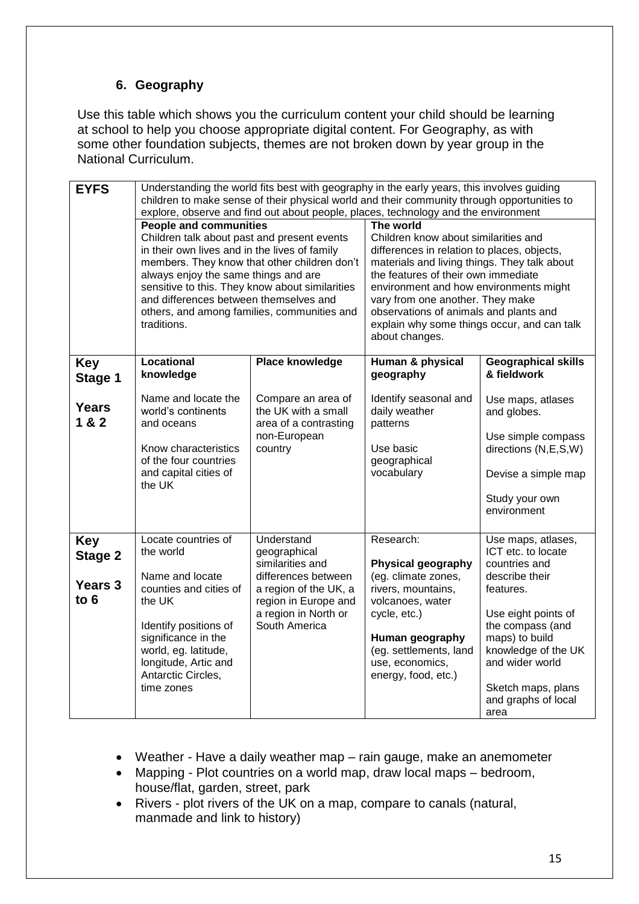## **6. Geography**

Use this table which shows you the curriculum content your child should be learning at school to help you choose appropriate digital content. For Geography, as with some other foundation subjects, themes are not broken down by year group in the National Curriculum.

| <b>EYFS</b>                                            | Understanding the world fits best with geography in the early years, this involves guiding<br>children to make sense of their physical world and their community through opportunities to<br>explore, observe and find out about people, places, technology and the environment                                                                                                  |                                                                                                                                                                 |                                                                                                                                                                                                                                                                                                                                                                                  |                                                                                                                                                                                                                                                      |  |
|--------------------------------------------------------|----------------------------------------------------------------------------------------------------------------------------------------------------------------------------------------------------------------------------------------------------------------------------------------------------------------------------------------------------------------------------------|-----------------------------------------------------------------------------------------------------------------------------------------------------------------|----------------------------------------------------------------------------------------------------------------------------------------------------------------------------------------------------------------------------------------------------------------------------------------------------------------------------------------------------------------------------------|------------------------------------------------------------------------------------------------------------------------------------------------------------------------------------------------------------------------------------------------------|--|
|                                                        | <b>People and communities</b><br>Children talk about past and present events<br>in their own lives and in the lives of family<br>members. They know that other children don't<br>always enjoy the same things and are<br>sensitive to this. They know about similarities<br>and differences between themselves and<br>others, and among families, communities and<br>traditions. |                                                                                                                                                                 | The world<br>Children know about similarities and<br>differences in relation to places, objects,<br>materials and living things. They talk about<br>the features of their own immediate<br>environment and how environments might<br>vary from one another. They make<br>observations of animals and plants and<br>explain why some things occur, and can talk<br>about changes. |                                                                                                                                                                                                                                                      |  |
| <b>Key</b><br>Stage 1                                  | Locational<br>knowledge                                                                                                                                                                                                                                                                                                                                                          | <b>Place knowledge</b>                                                                                                                                          | Human & physical<br>geography                                                                                                                                                                                                                                                                                                                                                    | <b>Geographical skills</b><br>& fieldwork                                                                                                                                                                                                            |  |
| <b>Years</b><br>1 & 2                                  | Name and locate the<br>world's continents<br>and oceans<br>Know characteristics<br>of the four countries<br>and capital cities of<br>the UK                                                                                                                                                                                                                                      | Compare an area of<br>the UK with a small<br>area of a contrasting<br>non-European<br>country                                                                   | Identify seasonal and<br>daily weather<br>patterns<br>Use basic<br>geographical<br>vocabulary                                                                                                                                                                                                                                                                                    | Use maps, atlases<br>and globes.<br>Use simple compass<br>directions (N,E,S,W)<br>Devise a simple map<br>Study your own<br>environment                                                                                                               |  |
| <b>Key</b><br><b>Stage 2</b><br><b>Years 3</b><br>to 6 | Locate countries of<br>the world<br>Name and locate<br>counties and cities of<br>the UK<br>Identify positions of<br>significance in the<br>world, eg. latitude,<br>longitude, Artic and<br>Antarctic Circles,<br>time zones                                                                                                                                                      | Understand<br>geographical<br>similarities and<br>differences between<br>a region of the UK, a<br>region in Europe and<br>a region in North or<br>South America | Research:<br><b>Physical geography</b><br>(eg. climate zones,<br>rivers, mountains,<br>volcanoes, water<br>cycle, etc.)<br>Human geography<br>(eg. settlements, land<br>use, economics,<br>energy, food, etc.)                                                                                                                                                                   | Use maps, atlases,<br>ICT etc. to locate<br>countries and<br>describe their<br>features.<br>Use eight points of<br>the compass (and<br>maps) to build<br>knowledge of the UK<br>and wider world<br>Sketch maps, plans<br>and graphs of local<br>area |  |

- Weather Have a daily weather map rain gauge, make an anemometer
- Mapping Plot countries on a world map, draw local maps bedroom, house/flat, garden, street, park
- Rivers plot rivers of the UK on a map, compare to canals (natural, manmade and link to history)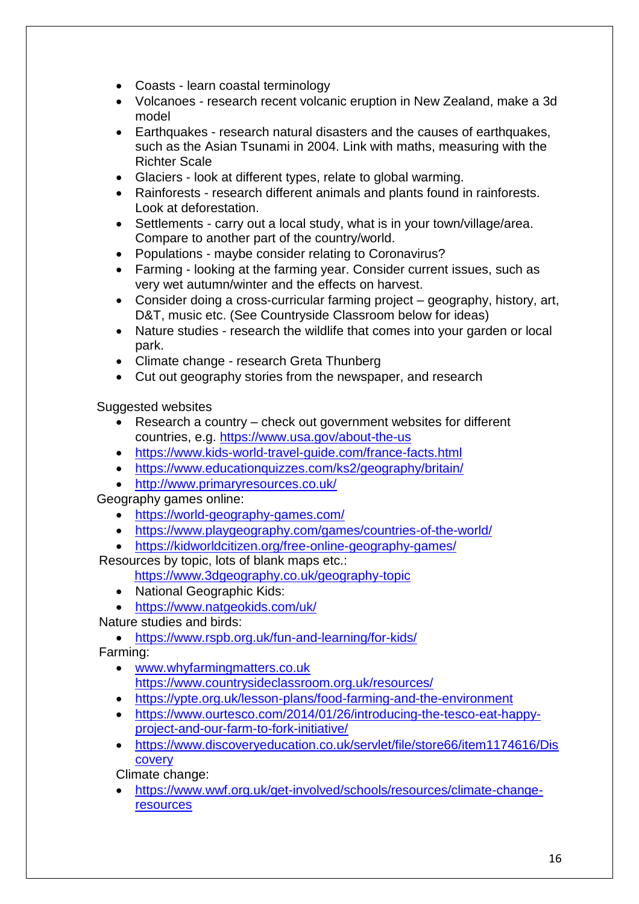- Coasts learn coastal terminology
- Volcanoes research recent volcanic eruption in New Zealand, make a 3d model
- Earthquakes research natural disasters and the causes of earthquakes, such as the Asian Tsunami in 2004. Link with maths, measuring with the Richter Scale
- Glaciers look at different types, relate to global warming.
- Rainforests research different animals and plants found in rainforests. Look at deforestation.
- Settlements carry out a local study, what is in your town/village/area. Compare to another part of the country/world.
- Populations maybe consider relating to Coronavirus?
- Farming looking at the farming year. Consider current issues, such as very wet autumn/winter and the effects on harvest.
- Consider doing a cross-curricular farming project geography, history, art, D&T, music etc. (See Countryside Classroom below for ideas)
- Nature studies research the wildlife that comes into your garden or local park.
- Climate change research Greta Thunberg
- Cut out geography stories from the newspaper, and research

Suggested websites

- Research a country check out government websites for different countries, e.g. <https://www.usa.gov/about-the-us>
- <https://www.kids-world-travel-guide.com/france-facts.html>
- <https://www.educationquizzes.com/ks2/geography/britain/>
- <http://www.primaryresources.co.uk/>

Geography games online:

- <https://world-geography-games.com/>
- <https://www.playgeography.com/games/countries-of-the-world/>
- <https://kidworldcitizen.org/free-online-geography-games/>

Resources by topic, lots of blank maps etc.:

<https://www.3dgeography.co.uk/geography-topic>

- National Geographic Kids:
- <https://www.natgeokids.com/uk/>
- Nature studies and birds:

• <https://www.rspb.org.uk/fun-and-learning/for-kids/>

Farming:

- [www.whyfarmingmatters.co.uk](http://www.whyfarmingmatters.co.uk/) <https://www.countrysideclassroom.org.uk/resources/>
- <https://ypte.org.uk/lesson-plans/food-farming-and-the-environment>
- [https://www.ourtesco.com/2014/01/26/introducing-the-tesco-eat-happy](https://www.ourtesco.com/2014/01/26/introducing-the-tesco-eat-happy-project-and-our-farm-to-fork-initiative/)[project-and-our-farm-to-fork-initiative/](https://www.ourtesco.com/2014/01/26/introducing-the-tesco-eat-happy-project-and-our-farm-to-fork-initiative/)
- [https://www.discoveryeducation.co.uk/servlet/file/store66/item1174616/Dis](https://www.discoveryeducation.co.uk/servlet/file/store66/item1174616/Discovery) [covery](https://www.discoveryeducation.co.uk/servlet/file/store66/item1174616/Discovery)

Climate change:

• [https://www.wwf.org.uk/get-involved/schools/resources/climate-change](https://www.wwf.org.uk/get-involved/schools/resources/climate-change-resources)[resources](https://www.wwf.org.uk/get-involved/schools/resources/climate-change-resources)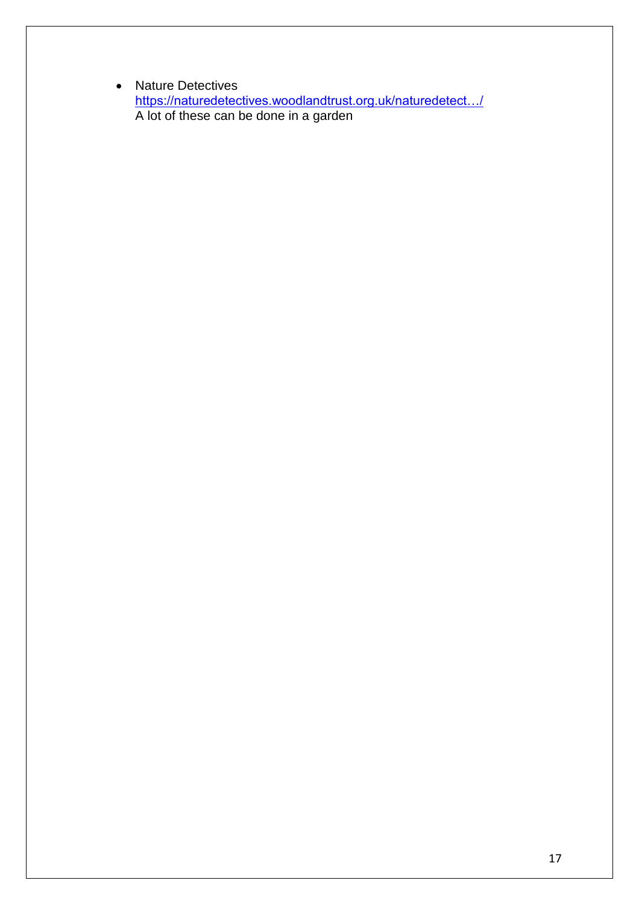• Nature Detectives [https://naturedetectives.woodlandtrust.org.uk/naturedetect…/](https://l.facebook.com/l.php?u=https%3A%2F%2Fnaturedetectives.woodlandtrust.org.uk%2Fnaturedetectives%2F&h=AT3DqQqlfZ55OnmL_FMYU4ToM0rGJeWawvVKPk7ZUgpDUWZcVdJKGqO02qcTsCuUmLym-h5wmYnNPfomkvPnRQGGH-vTfzaca2WTQFqIdrj37M_hb-cGJU5cudkt6ta8qQjEf_K6URFfv57arpDDiwLzG1nnay98hQmWefj4xWEIJJtJf-_YjNx5gNcjZlI) A lot of these can be done in a garden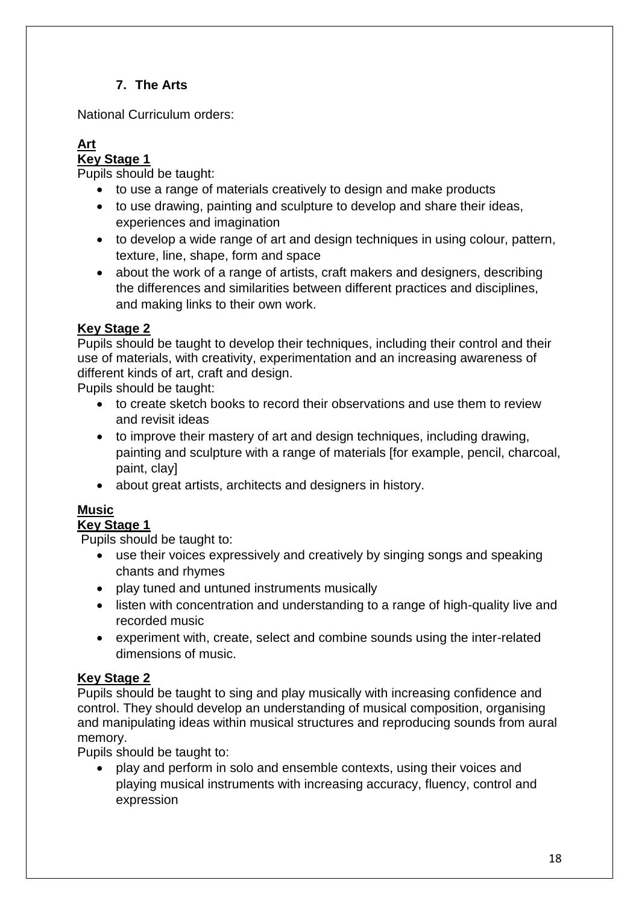## **7. The Arts**

National Curriculum orders:

# **Art**

## **Key Stage 1**

Pupils should be taught:

- to use a range of materials creatively to design and make products
- to use drawing, painting and sculpture to develop and share their ideas, experiences and imagination
- to develop a wide range of art and design techniques in using colour, pattern, texture, line, shape, form and space
- about the work of a range of artists, craft makers and designers, describing the differences and similarities between different practices and disciplines, and making links to their own work.

## **Key Stage 2**

Pupils should be taught to develop their techniques, including their control and their use of materials, with creativity, experimentation and an increasing awareness of different kinds of art, craft and design.

Pupils should be taught:

- to create sketch books to record their observations and use them to review and revisit ideas
- to improve their mastery of art and design techniques, including drawing, painting and sculpture with a range of materials [for example, pencil, charcoal, paint, clay]
- about great artists, architects and designers in history.

## **Music**

## **Key Stage 1**

Pupils should be taught to:

- use their voices expressively and creatively by singing songs and speaking chants and rhymes
- play tuned and untuned instruments musically
- listen with concentration and understanding to a range of high-quality live and recorded music
- experiment with, create, select and combine sounds using the inter-related dimensions of music.

## **Key Stage 2**

Pupils should be taught to sing and play musically with increasing confidence and control. They should develop an understanding of musical composition, organising and manipulating ideas within musical structures and reproducing sounds from aural memory.

Pupils should be taught to:

• play and perform in solo and ensemble contexts, using their voices and playing musical instruments with increasing accuracy, fluency, control and expression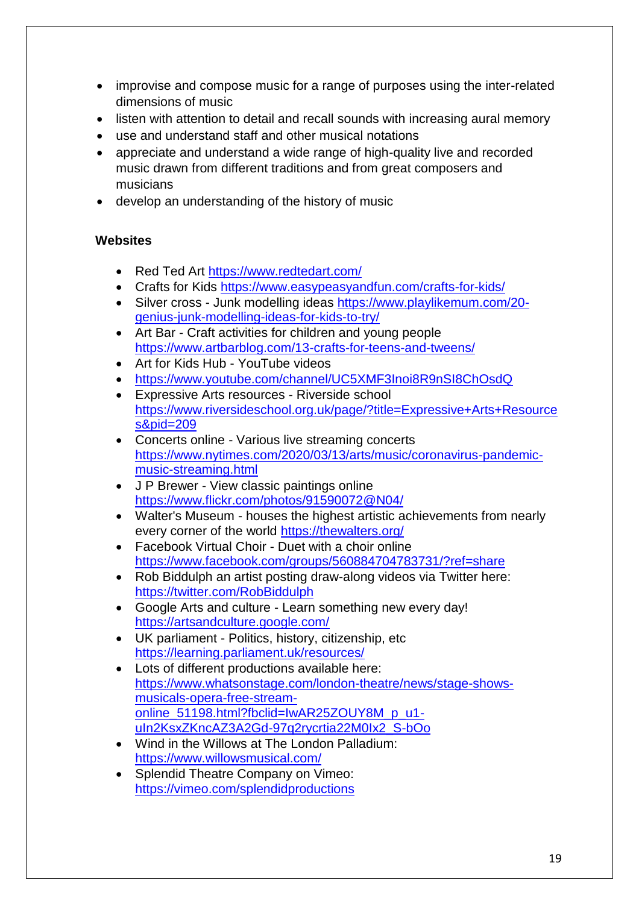- improvise and compose music for a range of purposes using the inter-related dimensions of music
- listen with attention to detail and recall sounds with increasing aural memory
- use and understand staff and other musical notations
- appreciate and understand a wide range of high-quality live and recorded music drawn from different traditions and from great composers and musicians
- develop an understanding of the history of music

#### **Websites**

- Red Ted Art<https://www.redtedart.com/>
- Crafts for Kids<https://www.easypeasyandfun.com/crafts-for-kids/>
- Silver cross Junk modelling ideas [https://www.playlikemum.com/20](https://www.playlikemum.com/20-genius-junk-modelling-ideas-for-kids-to-try/) [genius-junk-modelling-ideas-for-kids-to-try/](https://www.playlikemum.com/20-genius-junk-modelling-ideas-for-kids-to-try/)
- Art Bar Craft activities for children and young people <https://www.artbarblog.com/13-crafts-for-teens-and-tweens/>
- Art for Kids Hub YouTube videos
- <https://www.youtube.com/channel/UC5XMF3Inoi8R9nSI8ChOsdQ>
- Expressive Arts resources Riverside school [https://www.riversideschool.org.uk/page/?title=Expressive+Arts+Resource](https://www.riversideschool.org.uk/page/?title=Expressive+Arts+Resources&pid=209) [s&pid=209](https://www.riversideschool.org.uk/page/?title=Expressive+Arts+Resources&pid=209)
- Concerts online Various live streaming concerts [https://www.nytimes.com/2020/03/13/arts/music/coronavirus-pandemic](https://www.nytimes.com/2020/03/13/arts/music/coronavirus-pandemic-music-streaming.html)[music-streaming.html](https://www.nytimes.com/2020/03/13/arts/music/coronavirus-pandemic-music-streaming.html)
- J P Brewer View classic paintings online <https://www.flickr.com/photos/91590072@N04/>
- Walter's Museum houses the highest artistic achievements from nearly every corner of the world<https://thewalters.org/>
- Facebook Virtual Choir Duet with a choir online <https://www.facebook.com/groups/560884704783731/?ref=share>
- Rob Biddulph an artist posting draw-along videos via Twitter here: <https://twitter.com/RobBiddulph>
- Google Arts and culture Learn something new every day! <https://artsandculture.google.com/>
- UK parliament Politics, history, citizenship, etc <https://learning.parliament.uk/resources/>
- Lots of different productions available here: [https://www.whatsonstage.com/london-theatre/news/stage-shows](https://www.whatsonstage.com/london-theatre/news/stage-shows-musicals-opera-free-stream-online_51198.html?fbclid=IwAR25ZOUY8M_p_u1-uIn2KsxZKncAZ3A2Gd-97q2rycrtia22M0Ix2_S-bOo)[musicals-opera-free-stream](https://www.whatsonstage.com/london-theatre/news/stage-shows-musicals-opera-free-stream-online_51198.html?fbclid=IwAR25ZOUY8M_p_u1-uIn2KsxZKncAZ3A2Gd-97q2rycrtia22M0Ix2_S-bOo)[online\\_51198.html?fbclid=IwAR25ZOUY8M\\_p\\_u1](https://www.whatsonstage.com/london-theatre/news/stage-shows-musicals-opera-free-stream-online_51198.html?fbclid=IwAR25ZOUY8M_p_u1-uIn2KsxZKncAZ3A2Gd-97q2rycrtia22M0Ix2_S-bOo) [uIn2KsxZKncAZ3A2Gd-97q2rycrtia22M0Ix2\\_S-bOo](https://www.whatsonstage.com/london-theatre/news/stage-shows-musicals-opera-free-stream-online_51198.html?fbclid=IwAR25ZOUY8M_p_u1-uIn2KsxZKncAZ3A2Gd-97q2rycrtia22M0Ix2_S-bOo)
- Wind in the Willows at The London Palladium: <https://www.willowsmusical.com/>
- Splendid Theatre Company on Vimeo: <https://vimeo.com/splendidproductions>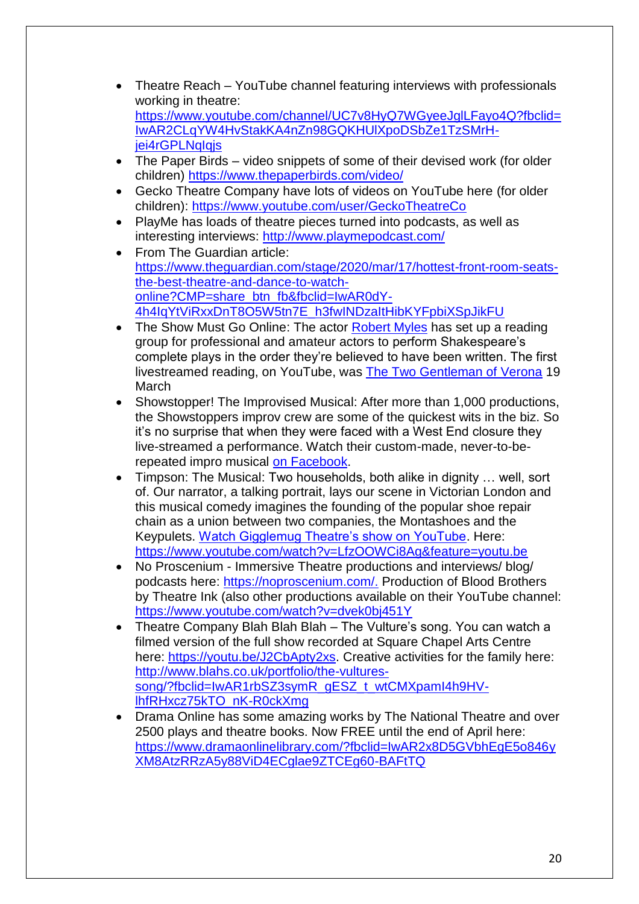- Theatre Reach YouTube channel featuring interviews with professionals working in theatre: [https://www.youtube.com/channel/UC7v8HyQ7WGyeeJglLFayo4Q?fbclid=](https://www.youtube.com/channel/UC7v8HyQ7WGyeeJglLFayo4Q?fbclid=IwAR2CLqYW4HvStakKA4nZn98GQKHUlXpoDSbZe1TzSMrH-jei4rGPLNqIqjs) [IwAR2CLqYW4HvStakKA4nZn98GQKHUlXpoDSbZe1TzSMrH](https://www.youtube.com/channel/UC7v8HyQ7WGyeeJglLFayo4Q?fbclid=IwAR2CLqYW4HvStakKA4nZn98GQKHUlXpoDSbZe1TzSMrH-jei4rGPLNqIqjs)jei4rGPLNqlqjs
- The Paper Birds video snippets of some of their devised work (for older children)<https://www.thepaperbirds.com/video/>
- Gecko Theatre Company have lots of videos on YouTube here (for older children): <https://www.youtube.com/user/GeckoTheatreCo>
- PlayMe has loads of theatre pieces turned into podcasts, as well as interesting interviews:<http://www.playmepodcast.com/>
- From The Guardian article: [https://www.theguardian.com/stage/2020/mar/17/hottest-front-room-seats](https://www.theguardian.com/stage/2020/mar/17/hottest-front-room-seats-the-best-theatre-and-dance-to-watch-online?CMP=share_btn_fb&fbclid=IwAR0dY-4h4IqYtViRxxDnT8O5W5tn7E_h3fwINDzaItHibKYFpbiXSpJikFU)[the-best-theatre-and-dance-to-watch](https://www.theguardian.com/stage/2020/mar/17/hottest-front-room-seats-the-best-theatre-and-dance-to-watch-online?CMP=share_btn_fb&fbclid=IwAR0dY-4h4IqYtViRxxDnT8O5W5tn7E_h3fwINDzaItHibKYFpbiXSpJikFU)[online?CMP=share\\_btn\\_fb&fbclid=IwAR0dY-](https://www.theguardian.com/stage/2020/mar/17/hottest-front-room-seats-the-best-theatre-and-dance-to-watch-online?CMP=share_btn_fb&fbclid=IwAR0dY-4h4IqYtViRxxDnT8O5W5tn7E_h3fwINDzaItHibKYFpbiXSpJikFU)[4h4IqYtViRxxDnT8O5W5tn7E\\_h3fwINDzaItHibKYFpbiXSpJikFU](https://www.theguardian.com/stage/2020/mar/17/hottest-front-room-seats-the-best-theatre-and-dance-to-watch-online?CMP=share_btn_fb&fbclid=IwAR0dY-4h4IqYtViRxxDnT8O5W5tn7E_h3fwINDzaItHibKYFpbiXSpJikFU)
- The Show Must Go Online: The actor [Robert Myles](https://robmyles.co.uk/) has set up a reading group for professional and amateur actors to perform Shakespeare's complete plays in the order they're believed to have been written. The first livestreamed reading, on YouTube, was [The Two Gentleman of Verona](https://youtu.be/KOAHj4ANGKw) 19 March
- Showstopper! The Improvised Musical: After more than 1,000 productions, the Showstoppers improv crew are some of the quickest wits in the biz. So it's no surprise that when they were faced with a West End closure they live-streamed a performance. Watch their custom-made, never-to-berepeated impro musical [on Facebook.](https://www.facebook.com/theshowstoppers/videos/918352645246170/)
- Timpson: The Musical: Two households, both alike in dignity … well, sort of. Our narrator, a talking portrait, lays our scene in Victorian London and this musical comedy imagines the founding of the popular shoe repair chain as a union between two companies, the Montashoes and the Keypulets. [Watch Gigglemug Theatre's show on YouTube.](https://www.youtube.com/watch?v=LfzOOWCi8Ag&feature=youtu.be) Here: <https://www.youtube.com/watch?v=LfzOOWCi8Ag&feature=youtu.be>
- No Proscenium Immersive Theatre productions and interviews/ blog/ podcasts here: [https://noproscenium.com/.](https://noproscenium.com/) Production of Blood Brothers by Theatre Ink (also other productions available on their YouTube channel: <https://www.youtube.com/watch?v=dvek0bj451Y>
- Theatre Company Blah Blah Blah The Vulture's song. You can watch a filmed version of the full show recorded at Square Chapel Arts Centre here: [https://youtu.be/J2CbApty2xs.](https://youtu.be/J2CbApty2xs) Creative activities for the family here: [http://www.blahs.co.uk/portfolio/the-vultures](http://www.blahs.co.uk/portfolio/the-vultures-song/?fbclid=IwAR1rbSZ3symR_gESZ_t_wtCMXpamI4h9HV-lhfRHxcz75kTO_nK-R0ckXmg)[song/?fbclid=IwAR1rbSZ3symR\\_gESZ\\_t\\_wtCMXpamI4h9HV](http://www.blahs.co.uk/portfolio/the-vultures-song/?fbclid=IwAR1rbSZ3symR_gESZ_t_wtCMXpamI4h9HV-lhfRHxcz75kTO_nK-R0ckXmg)[lhfRHxcz75kTO\\_nK-R0ckXmg](http://www.blahs.co.uk/portfolio/the-vultures-song/?fbclid=IwAR1rbSZ3symR_gESZ_t_wtCMXpamI4h9HV-lhfRHxcz75kTO_nK-R0ckXmg)
- Drama Online has some amazing works by The National Theatre and over 2500 plays and theatre books. Now FREE until the end of April here: [https://www.dramaonlinelibrary.com/?fbclid=IwAR2x8D5GVbhEgE5o846y](https://www.dramaonlinelibrary.com/?fbclid=IwAR2x8D5GVbhEgE5o846yXM8AtzRRzA5y88ViD4ECglae9ZTCEg60-BAFtTQ) [XM8AtzRRzA5y88ViD4ECglae9ZTCEg60-BAFtTQ](https://www.dramaonlinelibrary.com/?fbclid=IwAR2x8D5GVbhEgE5o846yXM8AtzRRzA5y88ViD4ECglae9ZTCEg60-BAFtTQ)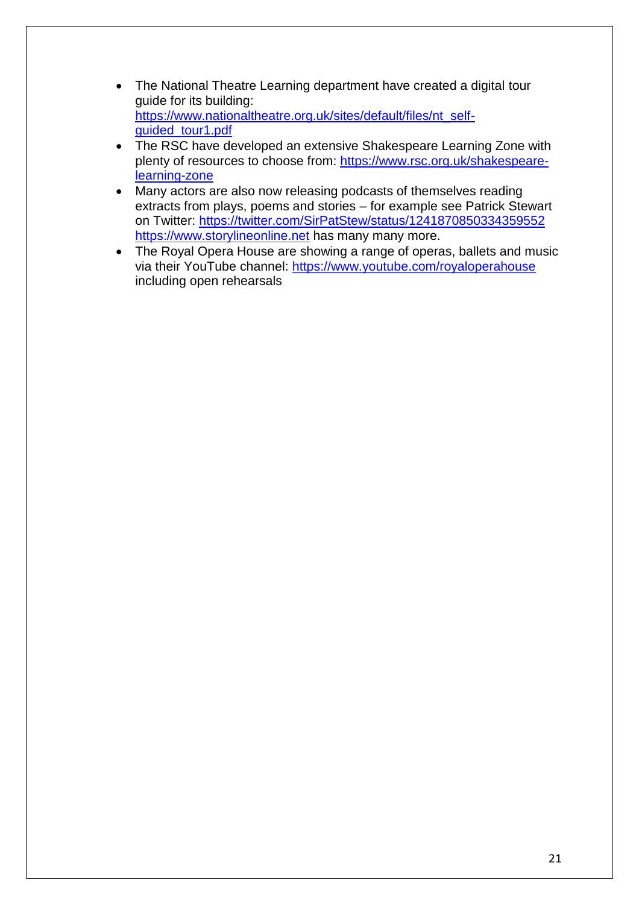- The National Theatre Learning department have created a digital tour guide for its building: [https://www.nationaltheatre.org.uk/sites/default/files/nt\\_self](https://www.nationaltheatre.org.uk/sites/default/files/nt_self-guided_tour1.pdf)[guided\\_tour1.pdf](https://www.nationaltheatre.org.uk/sites/default/files/nt_self-guided_tour1.pdf)
- The RSC have developed an extensive Shakespeare Learning Zone with plenty of resources to choose from: [https://www.rsc.org.uk/shakespeare](https://www.rsc.org.uk/shakespeare-learning-zone)[learning-zone](https://www.rsc.org.uk/shakespeare-learning-zone)
- Many actors are also now releasing podcasts of themselves reading extracts from plays, poems and stories – for example see Patrick Stewart on Twitter:<https://twitter.com/SirPatStew/status/1241870850334359552> [https://www.storylineonline.net](https://www.storylineonline.net/) has many many more.
- The Royal Opera House are showing a range of operas, ballets and music via their YouTube channel:<https://www.youtube.com/royaloperahouse> including open rehearsals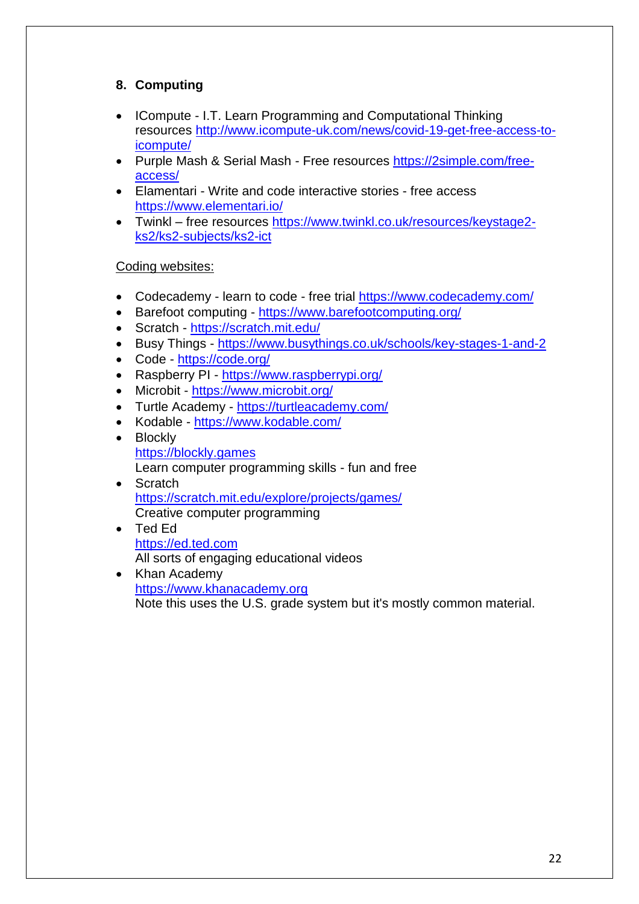## **8. Computing**

- ICompute I.T. Learn Programming and Computational Thinking resources [http://www.icompute-uk.com/news/covid-19-get-free-access-to](http://www.icompute-uk.com/news/covid-19-get-free-access-to-icompute/)[icompute/](http://www.icompute-uk.com/news/covid-19-get-free-access-to-icompute/)
- Purple Mash & Serial Mash Free resources [https://2simple.com/free](https://2simple.com/free-access/)[access/](https://2simple.com/free-access/)
- Elamentari Write and code interactive stories free access <https://www.elementari.io/>
- Twinkl free resources [https://www.twinkl.co.uk/resources/keystage2](https://www.twinkl.co.uk/resources/keystage2-ks2/ks2-subjects/ks2-ict) [ks2/ks2-subjects/ks2-ict](https://www.twinkl.co.uk/resources/keystage2-ks2/ks2-subjects/ks2-ict)

#### Coding websites:

- Codecademy learn to code free trial<https://www.codecademy.com/>
- Barefoot computing <https://www.barefootcomputing.org/>
- Scratch <https://scratch.mit.edu/>
- Busy Things <https://www.busythings.co.uk/schools/key-stages-1-and-2>
- Code <https://code.org/>
- Raspberry PI <https://www.raspberrypi.org/>
- Microbit <https://www.microbit.org/>
- Turtle Academy <https://turtleacademy.com/>
- Kodable <https://www.kodable.com/>
- Blockly [https://blockly.games](https://l.facebook.com/l.php?u=https%3A%2F%2Fblockly.games%2F&h=AT2bW_O2Cwft3JdQDpMBBeGcrX2ur1KjNeJL8J3fuLsm_sykXyTt5ezKFLEeNaBVw1IuuIH0mMnHjlN6KR4e4CPzcuJasn_OkiuCThN2WPbL4PO8tQsi0KNBy9B5c0QbYv36TzNJdNDxFoChkDsjgf9QUew-6fDilppWfcPuBthHWd0m_Ak0dq0PeAJ0_as) Learn computer programming skills - fun and free
- Scratch [https://scratch.mit.edu/explore/projects/games/](https://l.facebook.com/l.php?u=https%3A%2F%2Fscratch.mit.edu%2Fexplore%2Fprojects%2Fgames%2F&h=AT17Zbxbq7y4UKgmnycLAw3GvMeO53bf1M7-DBkzTfOX0pDdAaH2EfzJ7rJPSPVY54bqHEgICsDciAjM3WEnvQGV_tcf4pkPCT-RTbJOnra92x5ukzmZSJMik4dFYL73jsQ-sle3sCKh1opVCx4vYHxxrfoKlJ3FGAGhiQkYYsAvaD85K_cU-MAAYBvoTGM) Creative computer programming
- Ted Ed [https://ed.ted.com](https://l.facebook.com/l.php?u=https%3A%2F%2Fed.ted.com%2F&h=AT1i9w3lHyiCCTdFrKoMFA8QemLhW-mNgFcaPK66pkZG9iusivM-pXIb0YDbVqJ9girVm0SgwQ74DmMHmxM1XrhM9RQtBdX_TADm7QhuIew4Qa1NVMCdb51HQqYDl4ynPrF3e2ExUwTCYI1_dVPPKlQiYoVY4kqfuJBX1udClPhsfjwazBxLjD0ZZAlqsLLIFF_6XyV2vT1n) All sorts of engaging educational videos
- Khan Academy [https://www.khanacademy.org](https://l.facebook.com/l.php?u=https%3A%2F%2Fwww.khanacademy.org%2F&h=AT025vXtt-U0gsJYoBzov6fp0LP1-IhuQ9sBN3dwbeuN1Lcow5XiX5piAgIRe-sopB39wMptYs_BN01z9RshZdAJOuIITUZud6TxbQEAzJ2yLLigon4zm9iHy89vRPjqPgqyHBSKbpG-QSj0s77hRN_qQ_3rMq3VZikckGL3rUd3xjmEXl15EupT8ue19ds) Note this uses the U.S. grade system but it's mostly common material.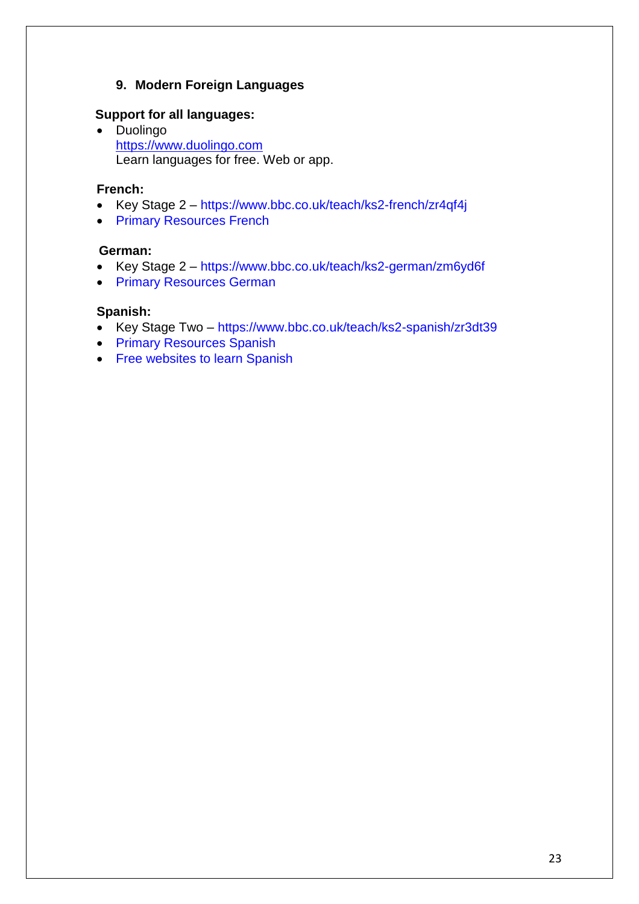#### **9. Modern Foreign Languages**

#### **Support for all languages:**

• Duolingo [https://www.duolingo.com](https://l.facebook.com/l.php?u=https%3A%2F%2Fwww.duolingo.com%2F&h=AT24XLSvC7qMU4y-_MUH1sK3jQh8XwX9b4kbpORK0O3h8hzvesqUBJpSwXVfgzL_rB0PAU7Z9ZRKoNUaMQMfIIvaWKC577w5GxsJvhi7lHnlPL9WNoze-xnJXHcEbjD38jTjK3DYq-uG97JFbiM7b7BWshHOcmSIgIMH3RVXB0PccDyDvhVF-Kvv38blElA) Learn languages for free. Web or app.

#### **French:**

- Key Stage 2 <https://www.bbc.co.uk/teach/ks2-french/zr4qf4j>
- [Primary Resources French](http://www.primaryresources.co.uk/mfl/mfl_french.htm)

#### **German:**

- Key Stage 2 <https://www.bbc.co.uk/teach/ks2-german/zm6yd6f>
- [Primary Resources German](http://www.primaryresources.co.uk/mfl/mfl_german.htm)

#### **Spanish:**

- Key Stage Two <https://www.bbc.co.uk/teach/ks2-spanish/zr3dt39>
- [Primary Resources Spanish](http://www.primaryresources.co.uk/mfl/mfl_spanish.htm)
- [Free websites to learn Spanish](https://onethirdstories.com/kids-to-learn-spanish/)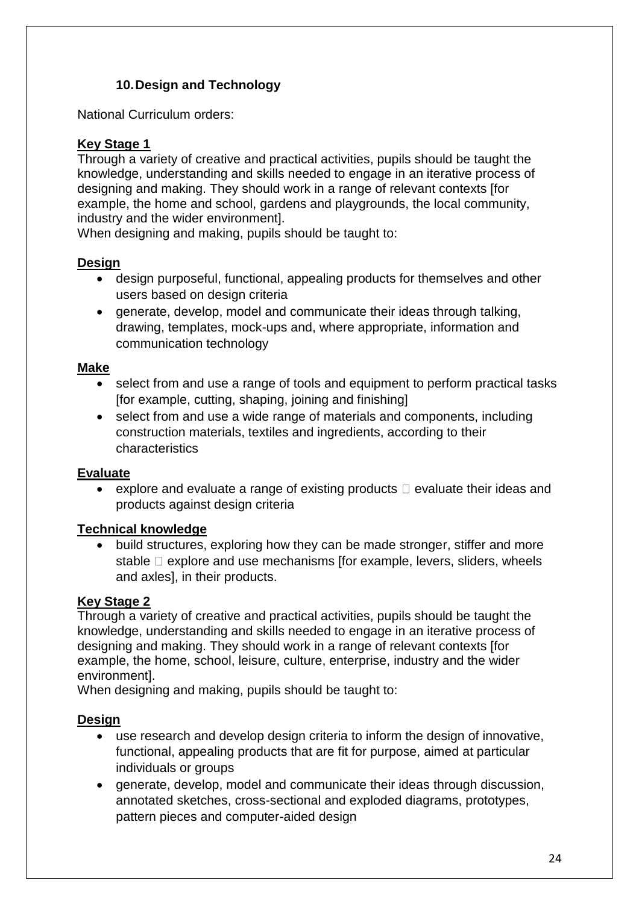## **10.Design and Technology**

National Curriculum orders:

#### **Key Stage 1**

Through a variety of creative and practical activities, pupils should be taught the knowledge, understanding and skills needed to engage in an iterative process of designing and making. They should work in a range of relevant contexts [for example, the home and school, gardens and playgrounds, the local community, industry and the wider environment].

When designing and making, pupils should be taught to:

## **Design**

- design purposeful, functional, appealing products for themselves and other users based on design criteria
- generate, develop, model and communicate their ideas through talking, drawing, templates, mock-ups and, where appropriate, information and communication technology

#### **Make**

- select from and use a range of tools and equipment to perform practical tasks [for example, cutting, shaping, joining and finishing]
- select from and use a wide range of materials and components, including construction materials, textiles and ingredients, according to their characteristics

#### **Evaluate**

explore and evaluate a range of existing products  $\Box$  evaluate their ideas and products against design criteria

#### **Technical knowledge**

• build structures, exploring how they can be made stronger, stiffer and more stable  $\Box$  explore and use mechanisms [for example, levers, sliders, wheels and axles], in their products.

#### **Key Stage 2**

Through a variety of creative and practical activities, pupils should be taught the knowledge, understanding and skills needed to engage in an iterative process of designing and making. They should work in a range of relevant contexts [for example, the home, school, leisure, culture, enterprise, industry and the wider environment].

When designing and making, pupils should be taught to:

#### **Design**

- use research and develop design criteria to inform the design of innovative, functional, appealing products that are fit for purpose, aimed at particular individuals or groups
- generate, develop, model and communicate their ideas through discussion, annotated sketches, cross-sectional and exploded diagrams, prototypes, pattern pieces and computer-aided design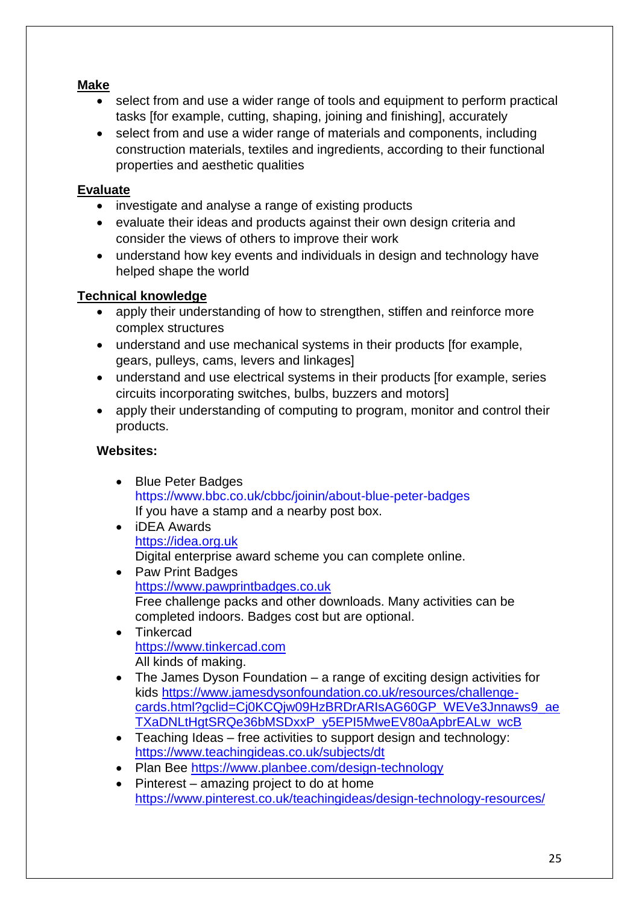## **Make**

- select from and use a wider range of tools and equipment to perform practical tasks [for example, cutting, shaping, joining and finishing], accurately
- select from and use a wider range of materials and components, including construction materials, textiles and ingredients, according to their functional properties and aesthetic qualities

#### **Evaluate**

- investigate and analyse a range of existing products
- evaluate their ideas and products against their own design criteria and consider the views of others to improve their work
- understand how key events and individuals in design and technology have helped shape the world

## **Technical knowledge**

- apply their understanding of how to strengthen, stiffen and reinforce more complex structures
- understand and use mechanical systems in their products [for example, gears, pulleys, cams, levers and linkages]
- understand and use electrical systems in their products [for example, series circuits incorporating switches, bulbs, buzzers and motors]
- apply their understanding of computing to program, monitor and control their products.

#### **Websites:**

- Blue Peter Badges [https://www.bbc.co.uk/cbbc/joinin/about-blue-peter-badges](https://l.facebook.com/l.php?u=https%3A%2F%2Fwww.bbc.co.uk%2Fcbbc%2Fjoinin%2Fabout-blue-peter-badges&h=AT3SgwSV5M9xp-wdP-V0I2OX5KMu0WjkxZ0fG9gm-fZGXrGF2lXAlQ_Ymm9AJg4VHIuXsrlYjPVeWKGFtQ0OFT7ZXrDmheZNT-jaKNf1dAAUIADRYjjYveSFDfeq4IC4dUF4_ZczNUoWp5gLJ8tSlXTo9HRZnyi_AAaIKhjqEeQR_gHEwW-D0rsJeWynViU) If you have a stamp and a nearby post box.
- iDEA Awards [https://idea.org.uk](https://l.facebook.com/l.php?u=https%3A%2F%2Fidea.org.uk%2F&h=AT0ppzzrKcWxryeWZYHmGwxG5D4LUBG2zAHV3ULoN7ixiA_Hyit7w47gsJHG21N9tChLGQ_s6gSNvJtglIzUHl_TM7AlXC5jOXfgtR4sfR9T0yGHCIof7Kq_BPJ5nS78J9QikBjo3qR3yC3CbQOxotldsQZ0HI_BghQKHzyPPaWLe0GMnkKg7cdjoher_YI) Digital enterprise award scheme you can complete online.
- Paw Print Badges [https://www.pawprintbadges.co.uk](https://l.facebook.com/l.php?u=https%3A%2F%2Fwww.pawprintbadges.co.uk%2F&h=AT3eXickwvhdEP8spsfpj4f4-zhLVNA8ohLCuj5rNqQx-pglT9ub2qBerixh4Z0ypHwBUSHflfUz0Pp6Zxzy03FmDbHES81qoc2GL3g5pEjXcU5HY7Epx4BFRPuauL7aCgx1bRX5wzJ1VK0jrPdABj_M_fR7HUurTZlQXlRO75F4s8UQCOg-lV38oI22aag) Free challenge packs and other downloads. Many activities can be completed indoors. Badges cost but are optional.
- Tinkercad [https://www.tinkercad.com](https://l.facebook.com/l.php?u=https%3A%2F%2Fwww.tinkercad.com%2F&h=AT0DzN2TbIhYVOvoncC0kmq7cjUd57PuWNHlXKffXAvO8BUP8nXCjy6gYj-ol4KA71dz-BOpN7A9872xbryL9b4273NFgzwq6sv3RDxxXbaV0kBB44sh255YOEi61_x5KAklhasnbNM7FlJxuVwWhwNxFylhsPYc1LVmmh8fGM-lFmIMnRcvYL_pvZikHY5JFFV3kZ9SzYwA) All kinds of making.
- The James Dyson Foundation a range of exciting design activities for kids [https://www.jamesdysonfoundation.co.uk/resources/challenge](https://www.jamesdysonfoundation.co.uk/resources/challenge-cards.html?gclid=Cj0KCQjw09HzBRDrARIsAG60GP_WEVe3Jnnaws9_aeTXaDNLtHgtSRQe36bMSDxxP_y5EPI5MweEV80aApbrEALw_wcB)[cards.html?gclid=Cj0KCQjw09HzBRDrARIsAG60GP\\_WEVe3Jnnaws9\\_ae](https://www.jamesdysonfoundation.co.uk/resources/challenge-cards.html?gclid=Cj0KCQjw09HzBRDrARIsAG60GP_WEVe3Jnnaws9_aeTXaDNLtHgtSRQe36bMSDxxP_y5EPI5MweEV80aApbrEALw_wcB) [TXaDNLtHgtSRQe36bMSDxxP\\_y5EPI5MweEV80aApbrEALw\\_wcB](https://www.jamesdysonfoundation.co.uk/resources/challenge-cards.html?gclid=Cj0KCQjw09HzBRDrARIsAG60GP_WEVe3Jnnaws9_aeTXaDNLtHgtSRQe36bMSDxxP_y5EPI5MweEV80aApbrEALw_wcB)
- Teaching Ideas free activities to support design and technology: <https://www.teachingideas.co.uk/subjects/dt>
- Plan Bee<https://www.planbee.com/design-technology>
- Pinterest amazing project to do at home <https://www.pinterest.co.uk/teachingideas/design-technology-resources/>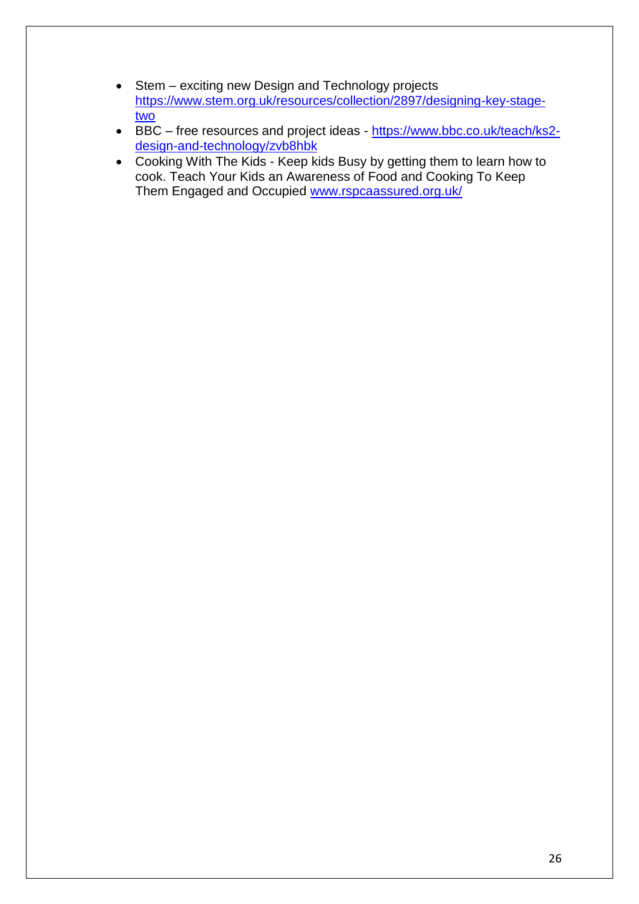- Stem exciting new Design and Technology projects [https://www.stem.org.uk/resources/collection/2897/designing-key-stage](https://www.stem.org.uk/resources/collection/2897/designing-key-stage-two)[two](https://www.stem.org.uk/resources/collection/2897/designing-key-stage-two)
- BBC free resources and project ideas [https://www.bbc.co.uk/teach/ks2](https://www.bbc.co.uk/teach/ks2-design-and-technology/zvb8hbk) [design-and-technology/zvb8hbk](https://www.bbc.co.uk/teach/ks2-design-and-technology/zvb8hbk)
- Cooking With The Kids Keep kids Busy by getting them to learn how to cook. Teach Your Kids an Awareness of Food and Cooking To Keep Them Engaged and Occupied [www.rspcaassured.org.uk/](http://www.rspcaassured.org.uk/)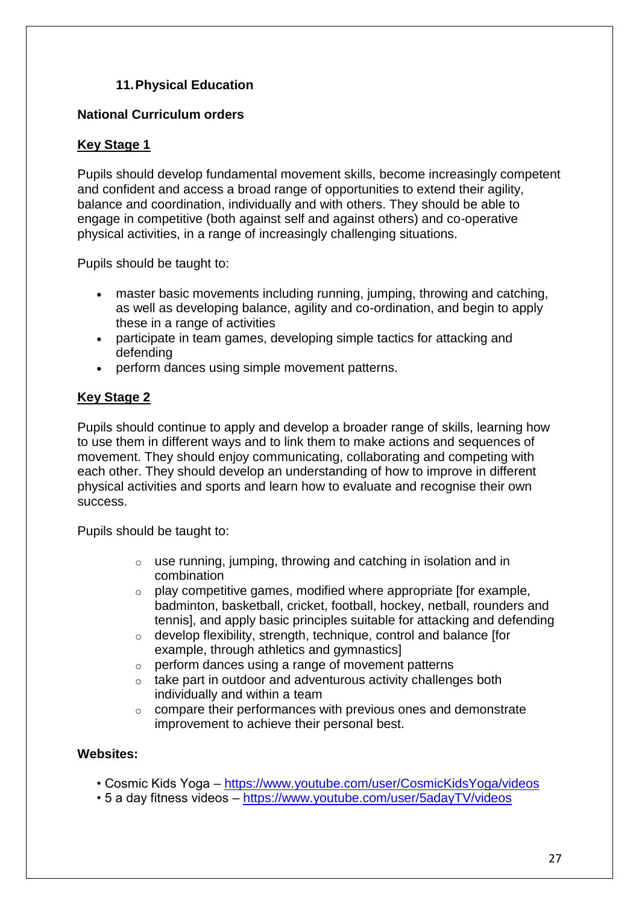## **11.Physical Education**

#### **National Curriculum orders**

#### **Key Stage 1**

Pupils should develop fundamental movement skills, become increasingly competent and confident and access a broad range of opportunities to extend their agility, balance and coordination, individually and with others. They should be able to engage in competitive (both against self and against others) and co-operative physical activities, in a range of increasingly challenging situations.

Pupils should be taught to:

- master basic movements including running, jumping, throwing and catching, as well as developing balance, agility and co-ordination, and begin to apply these in a range of activities
- participate in team games, developing simple tactics for attacking and defending
- perform dances using simple movement patterns.

## **Key Stage 2**

Pupils should continue to apply and develop a broader range of skills, learning how to use them in different ways and to link them to make actions and sequences of movement. They should enjoy communicating, collaborating and competing with each other. They should develop an understanding of how to improve in different physical activities and sports and learn how to evaluate and recognise their own success.

Pupils should be taught to:

- o use running, jumping, throwing and catching in isolation and in combination
- o play competitive games, modified where appropriate [for example, badminton, basketball, cricket, football, hockey, netball, rounders and tennis], and apply basic principles suitable for attacking and defending
- o develop flexibility, strength, technique, control and balance [for example, through athletics and gymnastics]
- o perform dances using a range of movement patterns
- $\circ$  take part in outdoor and adventurous activity challenges both individually and within a team
- $\circ$  compare their performances with previous ones and demonstrate improvement to achieve their personal best.

#### **Websites:**

- Cosmic Kids Yoga <https://www.youtube.com/user/CosmicKidsYoga/videos>
- 5 a day fitness videos <https://www.youtube.com/user/5adayTV/videos>